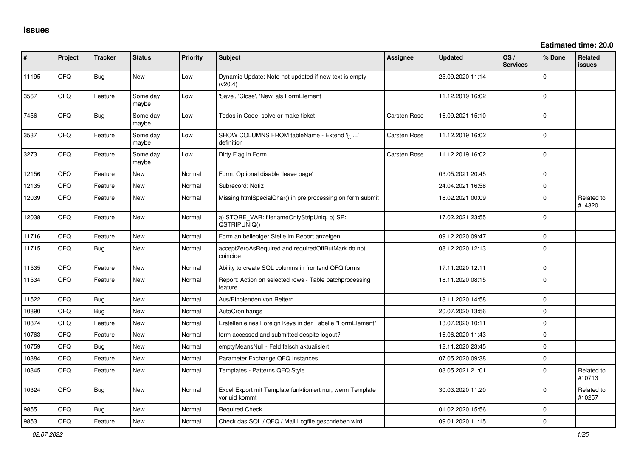**Estimated time: 20.0**

| #     | Project | <b>Tracker</b> | <b>Status</b>     | <b>Priority</b> | <b>Subject</b>                                                             | <b>Assignee</b> | <b>Updated</b>   | OS/<br><b>Services</b> | % Done      | Related<br><b>issues</b> |
|-------|---------|----------------|-------------------|-----------------|----------------------------------------------------------------------------|-----------------|------------------|------------------------|-------------|--------------------------|
| 11195 | QFQ     | <b>Bug</b>     | <b>New</b>        | Low             | Dynamic Update: Note not updated if new text is empty<br>(v20.4)           |                 | 25.09.2020 11:14 |                        | $\Omega$    |                          |
| 3567  | QFQ     | Feature        | Some day<br>maybe | Low             | 'Save', 'Close', 'New' als FormElement                                     |                 | 11.12.2019 16:02 |                        | $\Omega$    |                          |
| 7456  | QFQ     | Bug            | Some day<br>maybe | Low             | Todos in Code: solve or make ticket                                        | Carsten Rose    | 16.09.2021 15:10 |                        | $\mathbf 0$ |                          |
| 3537  | QFQ     | Feature        | Some day<br>maybe | Low             | SHOW COLUMNS FROM tableName - Extend '{{!'<br>definition                   | Carsten Rose    | 11.12.2019 16:02 |                        | $\Omega$    |                          |
| 3273  | QFQ     | Feature        | Some day<br>maybe | Low             | Dirty Flag in Form                                                         | Carsten Rose    | 11.12.2019 16:02 |                        | $\Omega$    |                          |
| 12156 | QFQ     | Feature        | <b>New</b>        | Normal          | Form: Optional disable 'leave page'                                        |                 | 03.05.2021 20:45 |                        | $\mathbf 0$ |                          |
| 12135 | QFQ     | Feature        | <b>New</b>        | Normal          | Subrecord: Notiz                                                           |                 | 24.04.2021 16:58 |                        | $\Omega$    |                          |
| 12039 | QFQ     | Feature        | New               | Normal          | Missing htmlSpecialChar() in pre processing on form submit                 |                 | 18.02.2021 00:09 |                        | $\Omega$    | Related to<br>#14320     |
| 12038 | QFQ     | Feature        | <b>New</b>        | Normal          | a) STORE_VAR: filenameOnlyStripUniq, b) SP:<br>QSTRIPUNIQ()                |                 | 17.02.2021 23:55 |                        | $\Omega$    |                          |
| 11716 | QFQ     | Feature        | <b>New</b>        | Normal          | Form an beliebiger Stelle im Report anzeigen                               |                 | 09.12.2020 09:47 |                        | $\mathbf 0$ |                          |
| 11715 | QFQ     | Bug            | New               | Normal          | acceptZeroAsRequired and requiredOffButMark do not<br>coincide             |                 | 08.12.2020 12:13 |                        | $\mathbf 0$ |                          |
| 11535 | QFQ     | Feature        | <b>New</b>        | Normal          | Ability to create SQL columns in frontend QFQ forms                        |                 | 17.11.2020 12:11 |                        | $\mathbf 0$ |                          |
| 11534 | QFQ     | Feature        | <b>New</b>        | Normal          | Report: Action on selected rows - Table batchprocessing<br>feature         |                 | 18.11.2020 08:15 |                        | $\Omega$    |                          |
| 11522 | QFQ     | Bug            | <b>New</b>        | Normal          | Aus/Einblenden von Reitern                                                 |                 | 13.11.2020 14:58 |                        | $\mathbf 0$ |                          |
| 10890 | QFQ     | <b>Bug</b>     | <b>New</b>        | Normal          | AutoCron hangs                                                             |                 | 20.07.2020 13:56 |                        | $\mathbf 0$ |                          |
| 10874 | QFQ     | Feature        | <b>New</b>        | Normal          | Erstellen eines Foreign Keys in der Tabelle "FormElement"                  |                 | 13.07.2020 10:11 |                        | $\mathbf 0$ |                          |
| 10763 | QFQ     | Feature        | New               | Normal          | form accessed and submitted despite logout?                                |                 | 16.06.2020 11:43 |                        | $\Omega$    |                          |
| 10759 | QFQ     | <b>Bug</b>     | <b>New</b>        | Normal          | emptyMeansNull - Feld falsch aktualisiert                                  |                 | 12.11.2020 23:45 |                        | $\Omega$    |                          |
| 10384 | QFQ     | Feature        | New               | Normal          | Parameter Exchange QFQ Instances                                           |                 | 07.05.2020 09:38 |                        | $\mathbf 0$ |                          |
| 10345 | QFQ     | Feature        | <b>New</b>        | Normal          | Templates - Patterns QFQ Style                                             |                 | 03.05.2021 21:01 |                        | $\Omega$    | Related to<br>#10713     |
| 10324 | QFQ     | <b>Bug</b>     | <b>New</b>        | Normal          | Excel Export mit Template funktioniert nur, wenn Template<br>vor uid kommt |                 | 30.03.2020 11:20 |                        | $\Omega$    | Related to<br>#10257     |
| 9855  | QFQ     | Bug            | <b>New</b>        | Normal          | <b>Required Check</b>                                                      |                 | 01.02.2020 15:56 |                        | $\Omega$    |                          |
| 9853  | QFQ     | Feature        | New               | Normal          | Check das SQL / QFQ / Mail Logfile geschrieben wird                        |                 | 09.01.2020 11:15 |                        | $\Omega$    |                          |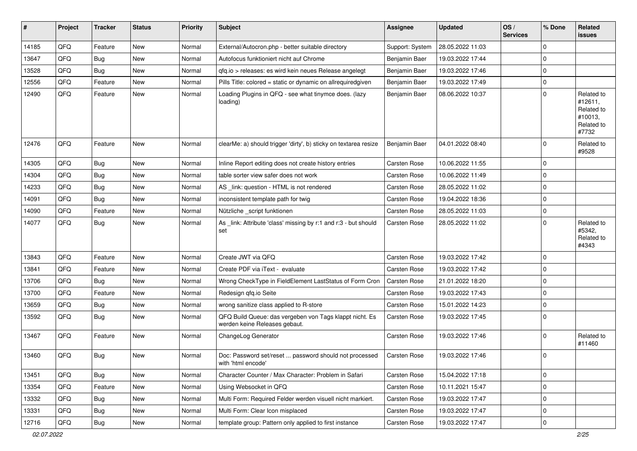| #     | Project | <b>Tracker</b> | <b>Status</b> | <b>Priority</b> | <b>Subject</b>                                                                           | <b>Assignee</b>     | <b>Updated</b>   | OS/<br><b>Services</b> | % Done      | Related<br><b>issues</b>                                              |
|-------|---------|----------------|---------------|-----------------|------------------------------------------------------------------------------------------|---------------------|------------------|------------------------|-------------|-----------------------------------------------------------------------|
| 14185 | QFQ     | Feature        | <b>New</b>    | Normal          | External/Autocron.php - better suitable directory                                        | Support: System     | 28.05.2022 11:03 |                        | $\Omega$    |                                                                       |
| 13647 | QFQ     | <b>Bug</b>     | New           | Normal          | Autofocus funktioniert nicht auf Chrome                                                  | Benjamin Baer       | 19.03.2022 17:44 |                        | $\mathbf 0$ |                                                                       |
| 13528 | QFQ     | <b>Bug</b>     | New           | Normal          | qfq.io > releases: es wird kein neues Release angelegt                                   | Benjamin Baer       | 19.03.2022 17:46 |                        | $\mathbf 0$ |                                                                       |
| 12556 | QFQ     | Feature        | <b>New</b>    | Normal          | Pills Title: colored = static or dynamic on allrequiredgiven                             | Benjamin Baer       | 19.03.2022 17:49 |                        | $\mathbf 0$ |                                                                       |
| 12490 | QFQ     | Feature        | <b>New</b>    | Normal          | Loading Plugins in QFQ - see what tinymce does. (lazy<br>loading)                        | Benjamin Baer       | 08.06.2022 10:37 |                        | $\Omega$    | Related to<br>#12611,<br>Related to<br>#10013,<br>Related to<br>#7732 |
| 12476 | QFQ     | Feature        | <b>New</b>    | Normal          | clearMe: a) should trigger 'dirty', b) sticky on textarea resize                         | Benjamin Baer       | 04.01.2022 08:40 |                        | $\Omega$    | Related to<br>#9528                                                   |
| 14305 | QFQ     | Bug            | New           | Normal          | Inline Report editing does not create history entries                                    | Carsten Rose        | 10.06.2022 11:55 |                        | $\mathbf 0$ |                                                                       |
| 14304 | QFQ     | <b>Bug</b>     | <b>New</b>    | Normal          | table sorter view safer does not work                                                    | <b>Carsten Rose</b> | 10.06.2022 11:49 |                        | $\mathbf 0$ |                                                                       |
| 14233 | QFQ     | Bug            | <b>New</b>    | Normal          | AS _link: question - HTML is not rendered                                                | <b>Carsten Rose</b> | 28.05.2022 11:02 |                        | $\mathbf 0$ |                                                                       |
| 14091 | QFQ     | Bug            | New           | Normal          | inconsistent template path for twig                                                      | <b>Carsten Rose</b> | 19.04.2022 18:36 |                        | $\mathbf 0$ |                                                                       |
| 14090 | QFQ     | Feature        | New           | Normal          | Nützliche _script funktionen                                                             | Carsten Rose        | 28.05.2022 11:03 |                        | $\mathbf 0$ |                                                                       |
| 14077 | QFQ     | Bug            | <b>New</b>    | Normal          | As link: Attribute 'class' missing by r:1 and r:3 - but should<br>set                    | <b>Carsten Rose</b> | 28.05.2022 11:02 |                        | $\mathbf 0$ | Related to<br>#5342,<br>Related to<br>#4343                           |
| 13843 | QFQ     | Feature        | <b>New</b>    | Normal          | Create JWT via QFQ                                                                       | <b>Carsten Rose</b> | 19.03.2022 17:42 |                        | $\mathbf 0$ |                                                                       |
| 13841 | QFQ     | Feature        | <b>New</b>    | Normal          | Create PDF via iText - evaluate                                                          | <b>Carsten Rose</b> | 19.03.2022 17:42 |                        | $\mathbf 0$ |                                                                       |
| 13706 | QFQ     | <b>Bug</b>     | New           | Normal          | Wrong CheckType in FieldElement LastStatus of Form Cron                                  | Carsten Rose        | 21.01.2022 18:20 |                        | $\mathbf 0$ |                                                                       |
| 13700 | QFQ     | Feature        | New           | Normal          | Redesign qfq.io Seite                                                                    | Carsten Rose        | 19.03.2022 17:43 |                        | $\mathbf 0$ |                                                                       |
| 13659 | QFQ     | <b>Bug</b>     | <b>New</b>    | Normal          | wrong sanitize class applied to R-store                                                  | <b>Carsten Rose</b> | 15.01.2022 14:23 |                        | $\mathbf 0$ |                                                                       |
| 13592 | QFQ     | Bug            | New           | Normal          | QFQ Build Queue: das vergeben von Tags klappt nicht. Es<br>werden keine Releases gebaut. | <b>Carsten Rose</b> | 19.03.2022 17:45 |                        | $\mathbf 0$ |                                                                       |
| 13467 | QFQ     | Feature        | <b>New</b>    | Normal          | ChangeLog Generator                                                                      | <b>Carsten Rose</b> | 19.03.2022 17:46 |                        | $\mathbf 0$ | Related to<br>#11460                                                  |
| 13460 | QFQ     | Bug            | New           | Normal          | Doc: Password set/reset  password should not processed<br>with 'html encode'             | <b>Carsten Rose</b> | 19.03.2022 17:46 |                        | $\mathbf 0$ |                                                                       |
| 13451 | QFQ     | <b>Bug</b>     | New           | Normal          | Character Counter / Max Character: Problem in Safari                                     | <b>Carsten Rose</b> | 15.04.2022 17:18 |                        | $\pmb{0}$   |                                                                       |
| 13354 | QFQ     | Feature        | New           | Normal          | Using Websocket in QFQ                                                                   | Carsten Rose        | 10.11.2021 15:47 |                        | $\mathbf 0$ |                                                                       |
| 13332 | QFQ     | Bug            | New           | Normal          | Multi Form: Required Felder werden visuell nicht markiert.                               | <b>Carsten Rose</b> | 19.03.2022 17:47 |                        | $\mathbf 0$ |                                                                       |
| 13331 | QFQ     | <b>Bug</b>     | New           | Normal          | Multi Form: Clear Icon misplaced                                                         | Carsten Rose        | 19.03.2022 17:47 |                        | $\vert$ 0   |                                                                       |
| 12716 | QFQ     | <b>Bug</b>     | New           | Normal          | template group: Pattern only applied to first instance                                   | Carsten Rose        | 19.03.2022 17:47 |                        | $\mathbf 0$ |                                                                       |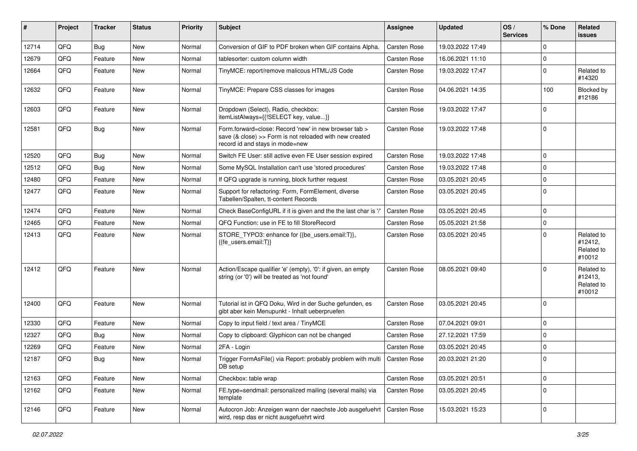| #     | Project | <b>Tracker</b> | <b>Status</b> | <b>Priority</b> | Subject                                                                                                                                                       | <b>Assignee</b>     | <b>Updated</b>   | OS/<br><b>Services</b> | % Done      | Related<br>issues                             |
|-------|---------|----------------|---------------|-----------------|---------------------------------------------------------------------------------------------------------------------------------------------------------------|---------------------|------------------|------------------------|-------------|-----------------------------------------------|
| 12714 | QFQ     | Bug            | New           | Normal          | Conversion of GIF to PDF broken when GIF contains Alpha.                                                                                                      | <b>Carsten Rose</b> | 19.03.2022 17:49 |                        | $\Omega$    |                                               |
| 12679 | QFQ     | Feature        | New           | Normal          | tablesorter: custom column width                                                                                                                              | Carsten Rose        | 16.06.2021 11:10 |                        | $\Omega$    |                                               |
| 12664 | QFQ     | Feature        | New           | Normal          | TinyMCE: report/remove malicous HTML/JS Code                                                                                                                  | Carsten Rose        | 19.03.2022 17:47 |                        | $\Omega$    | Related to<br>#14320                          |
| 12632 | QFQ     | Feature        | New           | Normal          | TinyMCE: Prepare CSS classes for images                                                                                                                       | <b>Carsten Rose</b> | 04.06.2021 14:35 |                        | 100         | Blocked by<br>#12186                          |
| 12603 | QFQ     | Feature        | New           | Normal          | Dropdown (Select), Radio, checkbox:<br>itemListAlways={{!SELECT key, value}}                                                                                  | Carsten Rose        | 19.03.2022 17:47 |                        | $\Omega$    |                                               |
| 12581 | QFQ     | <b>Bug</b>     | New           | Normal          | Form.forward=close: Record 'new' in new browser tab ><br>save $(8 \text{ close}) >>$ Form is not reloaded with new created<br>record id and stays in mode=new | Carsten Rose        | 19.03.2022 17:48 |                        | l 0         |                                               |
| 12520 | QFQ     | Bug            | <b>New</b>    | Normal          | Switch FE User: still active even FE User session expired                                                                                                     | <b>Carsten Rose</b> | 19.03.2022 17:48 |                        | $\mathbf 0$ |                                               |
| 12512 | QFQ     | Bug            | <b>New</b>    | Normal          | Some MySQL Installation can't use 'stored procedures'                                                                                                         | Carsten Rose        | 19.03.2022 17:48 |                        | $\Omega$    |                                               |
| 12480 | QFQ     | Feature        | New           | Normal          | If QFQ upgrade is running, block further request                                                                                                              | Carsten Rose        | 03.05.2021 20:45 |                        | $\mathbf 0$ |                                               |
| 12477 | QFQ     | Feature        | New           | Normal          | Support for refactoring: Form, FormElement, diverse<br>Tabellen/Spalten, tt-content Records                                                                   | Carsten Rose        | 03.05.2021 20:45 |                        | $\Omega$    |                                               |
| 12474 | QFQ     | Feature        | New           | Normal          | Check BaseConfigURL if it is given and the the last char is '/                                                                                                | <b>Carsten Rose</b> | 03.05.2021 20:45 |                        | l 0         |                                               |
| 12465 | QFQ     | Feature        | New           | Normal          | QFQ Function: use in FE to fill StoreRecord                                                                                                                   | <b>Carsten Rose</b> | 05.05.2021 21:58 |                        | $\mathbf 0$ |                                               |
| 12413 | QFQ     | Feature        | New           | Normal          | STORE TYPO3: enhance for {{be users.email:T}},<br>{{fe_users.email:T}}                                                                                        | Carsten Rose        | 03.05.2021 20:45 |                        | $\Omega$    | Related to<br>#12412,<br>Related to<br>#10012 |
| 12412 | QFQ     | Feature        | New           | Normal          | Action/Escape qualifier 'e' (empty), '0': if given, an empty<br>string (or '0') will be treated as 'not found'                                                | Carsten Rose        | 08.05.2021 09:40 |                        | $\Omega$    | Related to<br>#12413,<br>Related to<br>#10012 |
| 12400 | QFQ     | Feature        | <b>New</b>    | Normal          | Tutorial ist in QFQ Doku, Wird in der Suche gefunden, es<br>gibt aber kein Menupunkt - Inhalt ueberpruefen                                                    | Carsten Rose        | 03.05.2021 20:45 |                        | $\Omega$    |                                               |
| 12330 | QFQ     | Feature        | New           | Normal          | Copy to input field / text area / TinyMCE                                                                                                                     | <b>Carsten Rose</b> | 07.04.2021 09:01 |                        | $\Omega$    |                                               |
| 12327 | QFQ     | Bug            | New           | Normal          | Copy to clipboard: Glyphicon can not be changed                                                                                                               | Carsten Rose        | 27.12.2021 17:59 |                        | $\mathbf 0$ |                                               |
| 12269 | QFQ     | Feature        | New           | Normal          | 2FA - Login                                                                                                                                                   | <b>Carsten Rose</b> | 03.05.2021 20:45 |                        | $\mathbf 0$ |                                               |
| 12187 | QFQ     | Bug            | New           | Normal          | Trigger FormAsFile() via Report: probably problem with multi<br>DB setup                                                                                      | Carsten Rose        | 20.03.2021 21:20 |                        | l 0         |                                               |
| 12163 | QFQ     | Feature        | New           | Normal          | Checkbox: table wrap                                                                                                                                          | Carsten Rose        | 03.05.2021 20:51 |                        | $\mathbf 0$ |                                               |
| 12162 | QFQ     | Feature        | New           | Normal          | FE.type=sendmail: personalized mailing (several mails) via<br>template                                                                                        | Carsten Rose        | 03.05.2021 20:45 |                        | $\Omega$    |                                               |
| 12146 | QFQ     | Feature        | New           | Normal          | Autocron Job: Anzeigen wann der naechste Job ausgefuehrt<br>wird, resp das er nicht ausgefuehrt wird                                                          | Carsten Rose        | 15.03.2021 15:23 |                        | $\mathbf 0$ |                                               |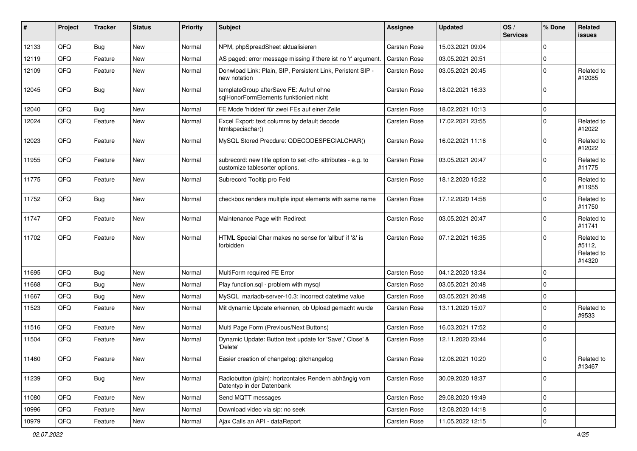| #     | Project | <b>Tracker</b> | <b>Status</b> | <b>Priority</b> | Subject                                                                                              | Assignee                                               | <b>Updated</b>   | OS/<br><b>Services</b> | % Done      | Related<br><b>issues</b>                     |                      |
|-------|---------|----------------|---------------|-----------------|------------------------------------------------------------------------------------------------------|--------------------------------------------------------|------------------|------------------------|-------------|----------------------------------------------|----------------------|
| 12133 | QFQ     | Bug            | <b>New</b>    | Normal          | NPM, phpSpreadSheet aktualisieren                                                                    | <b>Carsten Rose</b>                                    | 15.03.2021 09:04 |                        | 0           |                                              |                      |
| 12119 | QFQ     | Feature        | <b>New</b>    | Normal          | AS paged: error message missing if there ist no 'r' argument.                                        | <b>Carsten Rose</b>                                    | 03.05.2021 20:51 |                        | $\mathbf 0$ |                                              |                      |
| 12109 | QFQ     | Feature        | New           | Normal          | Donwload Link: Plain, SIP, Persistent Link, Peristent SIP -<br>new notation                          | Carsten Rose                                           | 03.05.2021 20:45 |                        | $\Omega$    | Related to<br>#12085                         |                      |
| 12045 | QFQ     | <b>Bug</b>     | <b>New</b>    | Normal          | templateGroup afterSave FE: Aufruf ohne<br>sqlHonorFormElements funktioniert nicht                   | <b>Carsten Rose</b>                                    | 18.02.2021 16:33 |                        | $\Omega$    |                                              |                      |
| 12040 | QFQ     | Bug            | <b>New</b>    | Normal          | FE Mode 'hidden' für zwei FEs auf einer Zeile                                                        | <b>Carsten Rose</b>                                    | 18.02.2021 10:13 |                        | $\mathbf 0$ |                                              |                      |
| 12024 | QFQ     | Feature        | New           | Normal          | Excel Export: text columns by default decode<br>htmlspeciachar()                                     | Carsten Rose                                           | 17.02.2021 23:55 |                        | 0           | Related to<br>#12022                         |                      |
| 12023 | QFQ     | Feature        | <b>New</b>    | Normal          | MySQL Stored Precdure: QDECODESPECIALCHAR()                                                          | Carsten Rose                                           | 16.02.2021 11:16 |                        | $\mathbf 0$ | Related to<br>#12022                         |                      |
| 11955 | QFQ     | Feature        | New           | Normal          | subrecord: new title option to set <th> attributes - e.g. to<br/>customize tablesorter options.</th> | attributes - e.g. to<br>customize tablesorter options. | Carsten Rose     | 03.05.2021 20:47       |             | $\Omega$                                     | Related to<br>#11775 |
| 11775 | QFQ     | Feature        | New           | Normal          | Subrecord Tooltip pro Feld                                                                           | <b>Carsten Rose</b>                                    | 18.12.2020 15:22 |                        | 0           | Related to<br>#11955                         |                      |
| 11752 | QFQ     | <b>Bug</b>     | New           | Normal          | checkbox renders multiple input elements with same name                                              | <b>Carsten Rose</b>                                    | 17.12.2020 14:58 |                        | $\Omega$    | Related to<br>#11750                         |                      |
| 11747 | QFQ     | Feature        | New           | Normal          | Maintenance Page with Redirect                                                                       | <b>Carsten Rose</b>                                    | 03.05.2021 20:47 |                        | $\Omega$    | Related to<br>#11741                         |                      |
| 11702 | QFQ     | Feature        | New           | Normal          | HTML Special Char makes no sense for 'allbut' if '&' is<br>forbidden                                 | <b>Carsten Rose</b>                                    | 07.12.2021 16:35 |                        | $\Omega$    | Related to<br>#5112,<br>Related to<br>#14320 |                      |
| 11695 | QFQ     | <b>Bug</b>     | <b>New</b>    | Normal          | MultiForm required FE Error                                                                          | <b>Carsten Rose</b>                                    | 04.12.2020 13:34 |                        | $\Omega$    |                                              |                      |
| 11668 | QFQ     | Bug            | New           | Normal          | Play function.sql - problem with mysql                                                               | <b>Carsten Rose</b>                                    | 03.05.2021 20:48 |                        | 0           |                                              |                      |
| 11667 | QFQ     | Bug            | New           | Normal          | MySQL mariadb-server-10.3: Incorrect datetime value                                                  | <b>Carsten Rose</b>                                    | 03.05.2021 20:48 |                        | $\Omega$    |                                              |                      |
| 11523 | QFQ     | Feature        | <b>New</b>    | Normal          | Mit dynamic Update erkennen, ob Upload gemacht wurde                                                 | Carsten Rose                                           | 13.11.2020 15:07 |                        | $\Omega$    | Related to<br>#9533                          |                      |
| 11516 | QFQ     | Feature        | New           | Normal          | Multi Page Form (Previous/Next Buttons)                                                              | Carsten Rose                                           | 16.03.2021 17:52 |                        | $\Omega$    |                                              |                      |
| 11504 | QFQ     | Feature        | <b>New</b>    | Normal          | Dynamic Update: Button text update for 'Save',' Close' &<br>'Delete'                                 | Carsten Rose                                           | 12.11.2020 23:44 |                        | 0           |                                              |                      |
| 11460 | QFQ     | Feature        | New           | Normal          | Easier creation of changelog: gitchangelog                                                           | Carsten Rose                                           | 12.06.2021 10:20 |                        | 0           | Related to<br>#13467                         |                      |
| 11239 | QFQ     | Bug            | New           | Normal          | Radiobutton (plain): horizontales Rendern abhängig vom<br>Datentyp in der Datenbank                  | Carsten Rose                                           | 30.09.2020 18:37 |                        | $\mathbf 0$ |                                              |                      |
| 11080 | QFQ     | Feature        | New           | Normal          | Send MQTT messages                                                                                   | Carsten Rose                                           | 29.08.2020 19:49 |                        | $\mathbf 0$ |                                              |                      |
| 10996 | QFQ     | Feature        | New           | Normal          | Download video via sip: no seek                                                                      | Carsten Rose                                           | 12.08.2020 14:18 |                        | 0           |                                              |                      |
| 10979 | QFQ     | Feature        | New           | Normal          | Ajax Calls an API - dataReport                                                                       | Carsten Rose                                           | 11.05.2022 12:15 |                        | 0           |                                              |                      |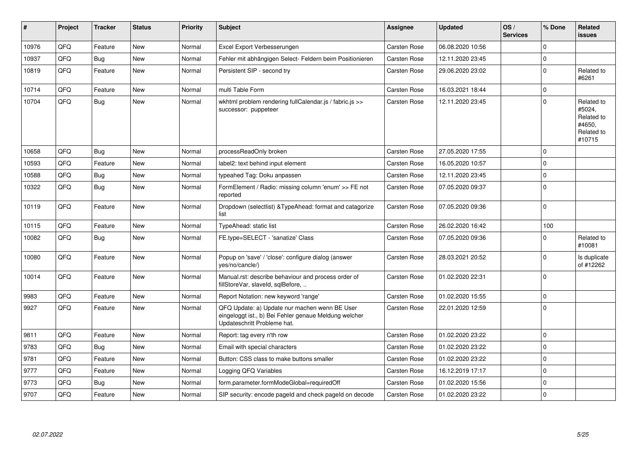| ∦     | Project | <b>Tracker</b> | <b>Status</b> | <b>Priority</b> | <b>Subject</b>                                                                                                                        | <b>Assignee</b>     | <b>Updated</b>   | OS/<br><b>Services</b> | % Done       | Related<br><b>issues</b>                                             |
|-------|---------|----------------|---------------|-----------------|---------------------------------------------------------------------------------------------------------------------------------------|---------------------|------------------|------------------------|--------------|----------------------------------------------------------------------|
| 10976 | QFQ     | Feature        | <b>New</b>    | Normal          | Excel Export Verbesserungen                                                                                                           | <b>Carsten Rose</b> | 06.08.2020 10:56 |                        | <sup>0</sup> |                                                                      |
| 10937 | QFQ     | Bug            | <b>New</b>    | Normal          | Fehler mit abhängigen Select- Feldern beim Positionieren                                                                              | <b>Carsten Rose</b> | 12.11.2020 23:45 |                        | 0            |                                                                      |
| 10819 | QFQ     | Feature        | <b>New</b>    | Normal          | Persistent SIP - second try                                                                                                           | Carsten Rose        | 29.06.2020 23:02 |                        | 0            | Related to<br>#6261                                                  |
| 10714 | QFQ     | Feature        | <b>New</b>    | Normal          | multi Table Form                                                                                                                      | <b>Carsten Rose</b> | 16.03.2021 18:44 |                        | $\Omega$     |                                                                      |
| 10704 | QFQ     | Bug            | <b>New</b>    | Normal          | wkhtml problem rendering fullCalendar.js / fabric.js >><br>successor: puppeteer                                                       | Carsten Rose        | 12.11.2020 23:45 |                        | $\Omega$     | Related to<br>#5024,<br>Related to<br>#4650,<br>Related to<br>#10715 |
| 10658 | QFQ     | Bug            | <b>New</b>    | Normal          | processReadOnly broken                                                                                                                | Carsten Rose        | 27.05.2020 17:55 |                        | $\Omega$     |                                                                      |
| 10593 | QFQ     | Feature        | <b>New</b>    | Normal          | label2: text behind input element                                                                                                     | Carsten Rose        | 16.05.2020 10:57 |                        | $\Omega$     |                                                                      |
| 10588 | QFQ     | Bug            | <b>New</b>    | Normal          | typeahed Tag: Doku anpassen                                                                                                           | <b>Carsten Rose</b> | 12.11.2020 23:45 |                        | $\mathbf 0$  |                                                                      |
| 10322 | QFQ     | Bug            | <b>New</b>    | Normal          | FormElement / Radio: missing column 'enum' >> FE not<br>reported                                                                      | Carsten Rose        | 07.05.2020 09:37 |                        | $\Omega$     |                                                                      |
| 10119 | QFQ     | Feature        | New           | Normal          | Dropdown (selectlist) & Type Ahead: format and catagorize<br>list                                                                     | Carsten Rose        | 07.05.2020 09:36 |                        | 0            |                                                                      |
| 10115 | QFQ     | Feature        | New           | Normal          | TypeAhead: static list                                                                                                                | <b>Carsten Rose</b> | 26.02.2020 16:42 |                        | 100          |                                                                      |
| 10082 | QFQ     | Bug            | <b>New</b>    | Normal          | FE.type=SELECT - 'sanatize' Class                                                                                                     | Carsten Rose        | 07.05.2020 09:36 |                        | 0            | Related to<br>#10081                                                 |
| 10080 | QFQ     | Feature        | <b>New</b>    | Normal          | Popup on 'save' / 'close': configure dialog (answer<br>yes/no/cancle/)                                                                | Carsten Rose        | 28.03.2021 20:52 |                        | $\Omega$     | Is duplicate<br>of #12262                                            |
| 10014 | QFQ     | Feature        | <b>New</b>    | Normal          | Manual.rst: describe behaviour and process order of<br>fillStoreVar, slaveId, sqlBefore,                                              | <b>Carsten Rose</b> | 01.02.2020 22:31 |                        | $\Omega$     |                                                                      |
| 9983  | QFQ     | Feature        | <b>New</b>    | Normal          | Report Notation: new keyword 'range'                                                                                                  | Carsten Rose        | 01.02.2020 15:55 |                        | 0            |                                                                      |
| 9927  | QFQ     | Feature        | <b>New</b>    | Normal          | QFQ Update: a) Update nur machen wenn BE User<br>eingeloggt ist., b) Bei Fehler genaue Meldung welcher<br>Updateschritt Probleme hat. | Carsten Rose        | 22.01.2020 12:59 |                        | $\Omega$     |                                                                      |
| 9811  | QFQ     | Feature        | <b>New</b>    | Normal          | Report: tag every n'th row                                                                                                            | Carsten Rose        | 01.02.2020 23:22 |                        | $\mathbf 0$  |                                                                      |
| 9783  | QFQ     | Bug            | <b>New</b>    | Normal          | Email with special characters                                                                                                         | <b>Carsten Rose</b> | 01.02.2020 23:22 |                        | $\Omega$     |                                                                      |
| 9781  | QFQ     | Feature        | <b>New</b>    | Normal          | Button: CSS class to make buttons smaller                                                                                             | <b>Carsten Rose</b> | 01.02.2020 23:22 |                        | $\Omega$     |                                                                      |
| 9777  | QFQ     | Feature        | <b>New</b>    | Normal          | Logging QFQ Variables                                                                                                                 | <b>Carsten Rose</b> | 16.12.2019 17:17 |                        | $\Omega$     |                                                                      |
| 9773  | QFQ     | Bug            | <b>New</b>    | Normal          | form.parameter.formModeGlobal=requiredOff                                                                                             | Carsten Rose        | 01.02.2020 15:56 |                        | $\mathbf 0$  |                                                                      |
| 9707  | QFQ     | Feature        | <b>New</b>    | Normal          | SIP security: encode pageld and check pageld on decode                                                                                | <b>Carsten Rose</b> | 01.02.2020 23:22 |                        | $\Omega$     |                                                                      |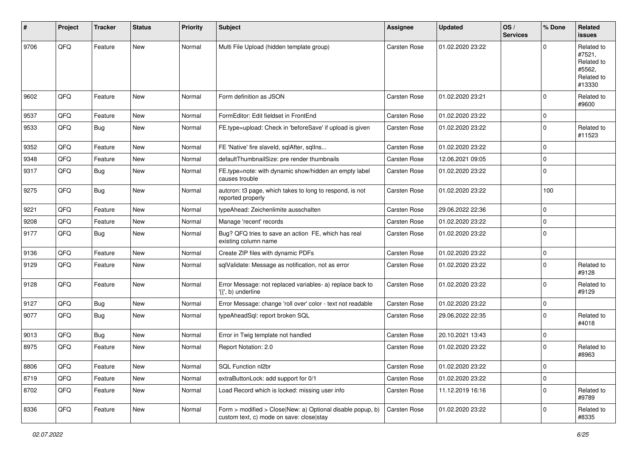| #    | Project | <b>Tracker</b> | <b>Status</b> | <b>Priority</b> | <b>Subject</b>                                                                                                   | <b>Assignee</b>     | <b>Updated</b>   | OS/<br><b>Services</b> | % Done      | Related<br><b>issues</b>                                             |
|------|---------|----------------|---------------|-----------------|------------------------------------------------------------------------------------------------------------------|---------------------|------------------|------------------------|-------------|----------------------------------------------------------------------|
| 9706 | QFQ     | Feature        | New           | Normal          | Multi File Upload (hidden template group)                                                                        | Carsten Rose        | 01.02.2020 23:22 |                        | 0           | Related to<br>#7521,<br>Related to<br>#5562,<br>Related to<br>#13330 |
| 9602 | QFQ     | Feature        | <b>New</b>    | Normal          | Form definition as JSON                                                                                          | <b>Carsten Rose</b> | 01.02.2020 23:21 |                        | $\Omega$    | Related to<br>#9600                                                  |
| 9537 | QFQ     | Feature        | <b>New</b>    | Normal          | FormEditor: Edit fieldset in FrontEnd                                                                            | <b>Carsten Rose</b> | 01.02.2020 23:22 |                        | $\Omega$    |                                                                      |
| 9533 | QFQ     | Bug            | <b>New</b>    | Normal          | FE.type=upload: Check in 'beforeSave' if upload is given                                                         | <b>Carsten Rose</b> | 01.02.2020 23:22 |                        | $\mathbf 0$ | Related to<br>#11523                                                 |
| 9352 | QFQ     | Feature        | <b>New</b>    | Normal          | FE 'Native' fire slaveld, sqlAfter, sqlIns                                                                       | Carsten Rose        | 01.02.2020 23:22 |                        | $\mathbf 0$ |                                                                      |
| 9348 | QFQ     | Feature        | <b>New</b>    | Normal          | defaultThumbnailSize: pre render thumbnails                                                                      | <b>Carsten Rose</b> | 12.06.2021 09:05 |                        | $\Omega$    |                                                                      |
| 9317 | QFQ     | Bug            | New           | Normal          | FE.type=note: with dynamic show/hidden an empty label<br>causes trouble                                          | <b>Carsten Rose</b> | 01.02.2020 23:22 |                        | $\mathbf 0$ |                                                                      |
| 9275 | QFQ     | <b>Bug</b>     | New           | Normal          | autcron: t3 page, which takes to long to respond, is not<br>reported properly                                    | <b>Carsten Rose</b> | 01.02.2020 23:22 |                        | 100         |                                                                      |
| 9221 | QFQ     | Feature        | <b>New</b>    | Normal          | typeAhead: Zeichenlimite ausschalten                                                                             | <b>Carsten Rose</b> | 29.06.2022 22:36 |                        | $\mathbf 0$ |                                                                      |
| 9208 | QFQ     | Feature        | New           | Normal          | Manage 'recent' records                                                                                          | <b>Carsten Rose</b> | 01.02.2020 23:22 |                        | 0           |                                                                      |
| 9177 | QFQ     | <b>Bug</b>     | <b>New</b>    | Normal          | Bug? QFQ tries to save an action FE, which has real<br>existing column name                                      | <b>Carsten Rose</b> | 01.02.2020 23:22 |                        | $\Omega$    |                                                                      |
| 9136 | QFQ     | Feature        | <b>New</b>    | Normal          | Create ZIP files with dynamic PDFs                                                                               | <b>Carsten Rose</b> | 01.02.2020 23:22 |                        | $\Omega$    |                                                                      |
| 9129 | QFQ     | Feature        | <b>New</b>    | Normal          | sqlValidate: Message as notification, not as error                                                               | <b>Carsten Rose</b> | 01.02.2020 23:22 |                        | $\Omega$    | Related to<br>#9128                                                  |
| 9128 | QFQ     | Feature        | New           | Normal          | Error Message: not replaced variables- a) replace back to<br>$\langle \{ \langle 1, b \rangle \rangle$ underline | <b>Carsten Rose</b> | 01.02.2020 23:22 |                        | $\Omega$    | Related to<br>#9129                                                  |
| 9127 | QFQ     | <b>Bug</b>     | New           | Normal          | Error Message: change 'roll over' color - text not readable                                                      | <b>Carsten Rose</b> | 01.02.2020 23:22 |                        | 0           |                                                                      |
| 9077 | QFQ     | Bug            | <b>New</b>    | Normal          | typeAheadSql: report broken SQL                                                                                  | <b>Carsten Rose</b> | 29.06.2022 22:35 |                        | $\Omega$    | Related to<br>#4018                                                  |
| 9013 | QFQ     | Bug            | <b>New</b>    | Normal          | Error in Twig template not handled                                                                               | <b>Carsten Rose</b> | 20.10.2021 13:43 |                        | $\Omega$    |                                                                      |
| 8975 | QFQ     | Feature        | New           | Normal          | Report Notation: 2.0                                                                                             | <b>Carsten Rose</b> | 01.02.2020 23:22 |                        | 0           | Related to<br>#8963                                                  |
| 8806 | QFO     | Feature        | New           | Normal          | SQL Function nl2br                                                                                               | Carsten Rose        | 01.02.2020 23:22 |                        | 0           |                                                                      |
| 8719 | QFQ     | Feature        | <b>New</b>    | Normal          | extraButtonLock: add support for 0/1                                                                             | Carsten Rose        | 01.02.2020 23:22 |                        | $\mathbf 0$ |                                                                      |
| 8702 | QFQ     | Feature        | New           | Normal          | Load Record which is locked: missing user info                                                                   | Carsten Rose        | 11.12.2019 16:16 |                        | 0           | Related to<br>#9789                                                  |
| 8336 | QFG     | Feature        | New           | Normal          | Form > modified > Close New: a) Optional disable popup, b)<br>custom text, c) mode on save: close stay           | Carsten Rose        | 01.02.2020 23:22 |                        | 0           | Related to<br>#8335                                                  |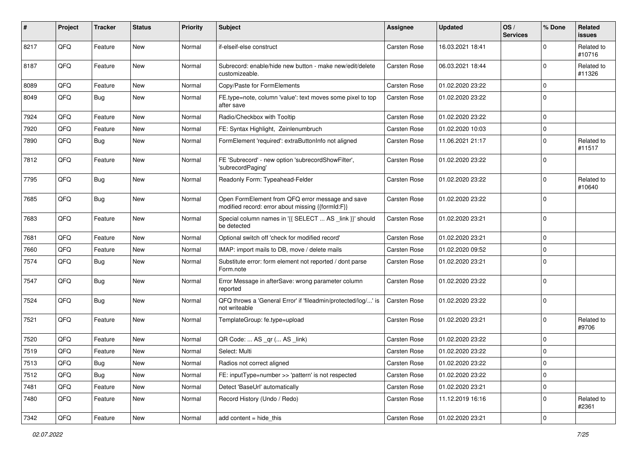| #    | Project | <b>Tracker</b> | <b>Status</b> | <b>Priority</b> | Subject                                                                                               | <b>Assignee</b>     | <b>Updated</b>   | OS/<br><b>Services</b> | % Done      | Related<br>issues    |
|------|---------|----------------|---------------|-----------------|-------------------------------------------------------------------------------------------------------|---------------------|------------------|------------------------|-------------|----------------------|
| 8217 | QFQ     | Feature        | New           | Normal          | if-elseif-else construct                                                                              | Carsten Rose        | 16.03.2021 18:41 |                        | $\Omega$    | Related to<br>#10716 |
| 8187 | QFQ     | Feature        | New           | Normal          | Subrecord: enable/hide new button - make new/edit/delete<br>customizeable.                            | <b>Carsten Rose</b> | 06.03.2021 18:44 |                        | $\Omega$    | Related to<br>#11326 |
| 8089 | QFQ     | Feature        | <b>New</b>    | Normal          | Copy/Paste for FormElements                                                                           | <b>Carsten Rose</b> | 01.02.2020 23:22 |                        | $\Omega$    |                      |
| 8049 | QFQ     | Bug            | <b>New</b>    | Normal          | FE.type=note, column 'value': text moves some pixel to top<br>after save                              | <b>Carsten Rose</b> | 01.02.2020 23:22 |                        | $\Omega$    |                      |
| 7924 | QFQ     | Feature        | New           | Normal          | Radio/Checkbox with Tooltip                                                                           | Carsten Rose        | 01.02.2020 23:22 |                        | $\Omega$    |                      |
| 7920 | QFQ     | Feature        | <b>New</b>    | Normal          | FE: Syntax Highlight, Zeinlenumbruch                                                                  | <b>Carsten Rose</b> | 01.02.2020 10:03 |                        | $\mathbf 0$ |                      |
| 7890 | QFQ     | <b>Bug</b>     | New           | Normal          | FormElement 'required': extraButtonInfo not aligned                                                   | <b>Carsten Rose</b> | 11.06.2021 21:17 |                        | $\Omega$    | Related to<br>#11517 |
| 7812 | QFQ     | Feature        | New           | Normal          | FE 'Subrecord' - new option 'subrecordShowFilter',<br>'subrecordPaging'                               | Carsten Rose        | 01.02.2020 23:22 |                        | $\Omega$    |                      |
| 7795 | QFQ     | Bug            | <b>New</b>    | Normal          | Readonly Form: Typeahead-Felder                                                                       | <b>Carsten Rose</b> | 01.02.2020 23:22 |                        | $\Omega$    | Related to<br>#10640 |
| 7685 | QFQ     | <b>Bug</b>     | New           | Normal          | Open FormElement from QFQ error message and save<br>modified record: error about missing {{formId:F}} | <b>Carsten Rose</b> | 01.02.2020 23:22 |                        | $\Omega$    |                      |
| 7683 | QFQ     | Feature        | New           | Normal          | Special column names in '{{ SELECT  AS _link }}' should<br>be detected                                | <b>Carsten Rose</b> | 01.02.2020 23:21 |                        | 0           |                      |
| 7681 | QFQ     | Feature        | <b>New</b>    | Normal          | Optional switch off 'check for modified record'                                                       | <b>Carsten Rose</b> | 01.02.2020 23:21 |                        | $\mathbf 0$ |                      |
| 7660 | QFQ     | Feature        | <b>New</b>    | Normal          | IMAP: import mails to DB, move / delete mails                                                         | <b>Carsten Rose</b> | 01.02.2020 09:52 |                        | $\mathbf 0$ |                      |
| 7574 | QFQ     | Bug            | <b>New</b>    | Normal          | Substitute error: form element not reported / dont parse<br>Form.note                                 | <b>Carsten Rose</b> | 01.02.2020 23:21 |                        | $\Omega$    |                      |
| 7547 | QFQ     | <b>Bug</b>     | New           | Normal          | Error Message in afterSave: wrong parameter column<br>reported                                        | <b>Carsten Rose</b> | 01.02.2020 23:22 |                        | $\Omega$    |                      |
| 7524 | QFQ     | <b>Bug</b>     | New           | Normal          | QFQ throws a 'General Error' if 'fileadmin/protected/log/' is<br>not writeable                        | <b>Carsten Rose</b> | 01.02.2020 23:22 |                        | 0           |                      |
| 7521 | QFQ     | Feature        | <b>New</b>    | Normal          | TemplateGroup: fe.type=upload                                                                         | <b>Carsten Rose</b> | 01.02.2020 23:21 |                        | $\Omega$    | Related to<br>#9706  |
| 7520 | QFQ     | Feature        | New           | Normal          | QR Code:  AS _qr ( AS _link)                                                                          | <b>Carsten Rose</b> | 01.02.2020 23:22 |                        | $\Omega$    |                      |
| 7519 | QFQ     | Feature        | <b>New</b>    | Normal          | Select: Multi                                                                                         | <b>Carsten Rose</b> | 01.02.2020 23:22 |                        | $\Omega$    |                      |
| 7513 | QFQ     | <b>Bug</b>     | New           | Normal          | Radios not correct aligned                                                                            | Carsten Rose        | 01.02.2020 23:22 |                        | l 0         |                      |
| 7512 | QFQ     | <b>Bug</b>     | New           | Normal          | FE: inputType=number >> 'pattern' is not respected                                                    | Carsten Rose        | 01.02.2020 23:22 |                        | $\mathbf 0$ |                      |
| 7481 | QFQ     | Feature        | New           | Normal          | Detect 'BaseUrl' automatically                                                                        | Carsten Rose        | 01.02.2020 23:21 |                        | $\mathbf 0$ |                      |
| 7480 | QFQ     | Feature        | New           | Normal          | Record History (Undo / Redo)                                                                          | Carsten Rose        | 11.12.2019 16:16 |                        | 0           | Related to<br>#2361  |
| 7342 | QFQ     | Feature        | New           | Normal          | add content $=$ hide this                                                                             | Carsten Rose        | 01.02.2020 23:21 |                        | 0           |                      |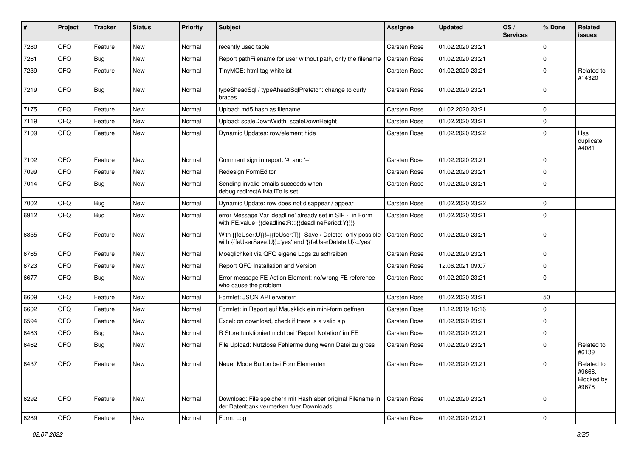| ∦    | Project | <b>Tracker</b> | <b>Status</b> | <b>Priority</b> | Subject                                                                                                                    | <b>Assignee</b>     | <b>Updated</b>   | OS/<br><b>Services</b> | % Done              | Related<br><b>issues</b>                    |
|------|---------|----------------|---------------|-----------------|----------------------------------------------------------------------------------------------------------------------------|---------------------|------------------|------------------------|---------------------|---------------------------------------------|
| 7280 | QFQ     | Feature        | <b>New</b>    | Normal          | recently used table                                                                                                        | Carsten Rose        | 01.02.2020 23:21 |                        | 0                   |                                             |
| 7261 | QFQ     | <b>Bug</b>     | New           | Normal          | Report pathFilename for user without path, only the filename                                                               | <b>Carsten Rose</b> | 01.02.2020 23:21 |                        | $\Omega$            |                                             |
| 7239 | QFQ     | Feature        | New           | Normal          | TinyMCE: html tag whitelist                                                                                                | Carsten Rose        | 01.02.2020 23:21 |                        | $\Omega$            | Related to<br>#14320                        |
| 7219 | QFQ     | <b>Bug</b>     | New           | Normal          | typeSheadSql / typeAheadSqlPrefetch: change to curly<br>braces                                                             | <b>Carsten Rose</b> | 01.02.2020 23:21 |                        | $\Omega$            |                                             |
| 7175 | QFQ     | Feature        | <b>New</b>    | Normal          | Upload: md5 hash as filename                                                                                               | <b>Carsten Rose</b> | 01.02.2020 23:21 |                        | 0                   |                                             |
| 7119 | QFQ     | Feature        | New           | Normal          | Upload: scaleDownWidth, scaleDownHeight                                                                                    | <b>Carsten Rose</b> | 01.02.2020 23:21 |                        | 0                   |                                             |
| 7109 | QFQ     | Feature        | New           | Normal          | Dynamic Updates: row/element hide                                                                                          | <b>Carsten Rose</b> | 01.02.2020 23:22 |                        | $\Omega$            | Has<br>duplicate<br>#4081                   |
| 7102 | QFQ     | Feature        | <b>New</b>    | Normal          | Comment sign in report: '#' and '--'                                                                                       | <b>Carsten Rose</b> | 01.02.2020 23:21 |                        | $\Omega$            |                                             |
| 7099 | QFQ     | Feature        | New           | Normal          | Redesign FormEditor                                                                                                        | <b>Carsten Rose</b> | 01.02.2020 23:21 |                        | $\Omega$            |                                             |
| 7014 | QFQ     | Bug            | New           | Normal          | Sending invalid emails succeeds when<br>debug.redirectAllMailTo is set                                                     | Carsten Rose        | 01.02.2020 23:21 |                        | $\mathbf 0$         |                                             |
| 7002 | QFQ     | Bug            | <b>New</b>    | Normal          | Dynamic Update: row does not disappear / appear                                                                            | <b>Carsten Rose</b> | 01.02.2020 23:22 |                        | 0                   |                                             |
| 6912 | QFQ     | Bug            | <b>New</b>    | Normal          | error Message Var 'deadline' already set in SIP - in Form<br>with FE.value={{deadline:R:::{{deadlinePeriod:Y}}}}           | <b>Carsten Rose</b> | 01.02.2020 23:21 |                        | $\Omega$            |                                             |
| 6855 | QFQ     | Feature        | <b>New</b>    | Normal          | With {{feUser:U}}!={{feUser:T}}: Save / Delete: only possible<br>with {{feUserSave:U}}='yes' and '{{feUserDelete:U}}='yes' | Carsten Rose        | 01.02.2020 23:21 |                        | $\Omega$            |                                             |
| 6765 | QFQ     | Feature        | New           | Normal          | Moeglichkeit via QFQ eigene Logs zu schreiben                                                                              | <b>Carsten Rose</b> | 01.02.2020 23:21 |                        | $\mathbf 0$         |                                             |
| 6723 | QFQ     | Feature        | New           | Normal          | Report QFQ Installation and Version                                                                                        | <b>Carsten Rose</b> | 12.06.2021 09:07 |                        | 0                   |                                             |
| 6677 | QFQ     | Bug            | New           | Normal          | Error message FE Action Element: no/wrong FE reference<br>who cause the problem.                                           | <b>Carsten Rose</b> | 01.02.2020 23:21 |                        | $\Omega$            |                                             |
| 6609 | QFQ     | Feature        | New           | Normal          | Formlet: JSON API erweitern                                                                                                | <b>Carsten Rose</b> | 01.02.2020 23:21 |                        | 50                  |                                             |
| 6602 | QFQ     | Feature        | <b>New</b>    | Normal          | Formlet: in Report auf Mausklick ein mini-form oeffnen                                                                     | <b>Carsten Rose</b> | 11.12.2019 16:16 |                        | 0                   |                                             |
| 6594 | QFQ     | Feature        | New           | Normal          | Excel: on download, check if there is a valid sip                                                                          | Carsten Rose        | 01.02.2020 23:21 |                        | 0                   |                                             |
| 6483 | QFQ     | Bug            | <b>New</b>    | Normal          | R Store funktioniert nicht bei 'Report Notation' im FE                                                                     | <b>Carsten Rose</b> | 01.02.2020 23:21 |                        | $\Omega$            |                                             |
| 6462 | QFQ     | Bug            | New           | Normal          | File Upload: Nutzlose Fehlermeldung wenn Datei zu gross                                                                    | <b>Carsten Rose</b> | 01.02.2020 23:21 |                        | $\Omega$            | Related to<br>#6139                         |
| 6437 | QFQ     | Feature        | New           | Normal          | Neuer Mode Button bei FormElementen                                                                                        | Carsten Rose        | 01.02.2020 23:21 |                        | $\mathbf 0$         | Related to<br>#9668,<br>Blocked by<br>#9678 |
| 6292 | QFQ     | Feature        | New           | Normal          | Download: File speichern mit Hash aber original Filename in<br>der Datenbank vermerken fuer Downloads                      | Carsten Rose        | 01.02.2020 23:21 |                        | $\Omega$            |                                             |
| 6289 | QFO     | Feature        | New           | Normal          | Form: Log                                                                                                                  | Carsten Rose        | 01.02.2020 23:21 |                        | $\mathsf{O}\xspace$ |                                             |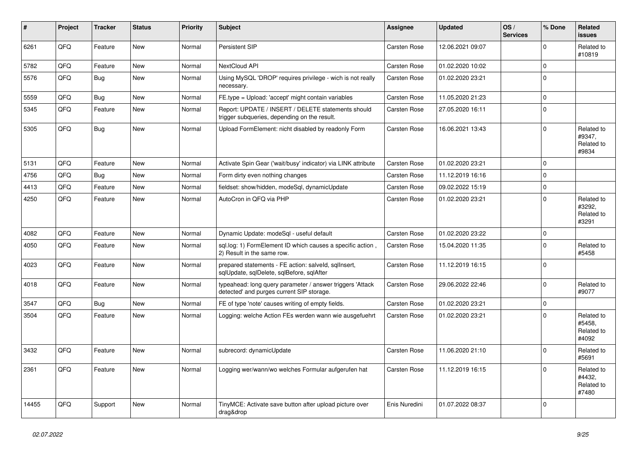| #     | Project | <b>Tracker</b> | <b>Status</b> | <b>Priority</b> | <b>Subject</b>                                                                                         | <b>Assignee</b>     | <b>Updated</b>   | OS/<br><b>Services</b> | % Done         | Related<br><b>issues</b>                    |
|-------|---------|----------------|---------------|-----------------|--------------------------------------------------------------------------------------------------------|---------------------|------------------|------------------------|----------------|---------------------------------------------|
| 6261  | QFQ     | Feature        | <b>New</b>    | Normal          | Persistent SIP                                                                                         | Carsten Rose        | 12.06.2021 09:07 |                        | $\Omega$       | Related to<br>#10819                        |
| 5782  | QFQ     | Feature        | <b>New</b>    | Normal          | NextCloud API                                                                                          | Carsten Rose        | 01.02.2020 10:02 |                        | $\mathbf 0$    |                                             |
| 5576  | QFQ     | <b>Bug</b>     | <b>New</b>    | Normal          | Using MySQL 'DROP' requires privilege - wich is not really<br>necessary.                               | <b>Carsten Rose</b> | 01.02.2020 23:21 |                        | $\Omega$       |                                             |
| 5559  | QFQ     | Bug            | <b>New</b>    | Normal          | FE.type = Upload: 'accept' might contain variables                                                     | Carsten Rose        | 11.05.2020 21:23 |                        | $\mathbf 0$    |                                             |
| 5345  | QFQ     | Feature        | <b>New</b>    | Normal          | Report: UPDATE / INSERT / DELETE statements should<br>trigger subqueries, depending on the result.     | Carsten Rose        | 27.05.2020 16:11 |                        | $\Omega$       |                                             |
| 5305  | QFQ     | <b>Bug</b>     | <b>New</b>    | Normal          | Upload FormElement: nicht disabled by readonly Form                                                    | <b>Carsten Rose</b> | 16.06.2021 13:43 |                        | $\Omega$       | Related to<br>#9347,<br>Related to<br>#9834 |
| 5131  | QFQ     | Feature        | <b>New</b>    | Normal          | Activate Spin Gear ('wait/busy' indicator) via LINK attribute                                          | <b>Carsten Rose</b> | 01.02.2020 23:21 |                        | $\overline{0}$ |                                             |
| 4756  | QFQ     | Bug            | <b>New</b>    | Normal          | Form dirty even nothing changes                                                                        | <b>Carsten Rose</b> | 11.12.2019 16:16 |                        | $\Omega$       |                                             |
| 4413  | QFQ     | Feature        | <b>New</b>    | Normal          | fieldset: show/hidden, modeSql, dynamicUpdate                                                          | <b>Carsten Rose</b> | 09.02.2022 15:19 |                        | $\Omega$       |                                             |
| 4250  | QFQ     | Feature        | <b>New</b>    | Normal          | AutoCron in QFQ via PHP                                                                                | <b>Carsten Rose</b> | 01.02.2020 23:21 |                        | $\Omega$       | Related to<br>#3292,<br>Related to<br>#3291 |
| 4082  | QFQ     | Feature        | <b>New</b>    | Normal          | Dynamic Update: modeSql - useful default                                                               | Carsten Rose        | 01.02.2020 23:22 |                        | $\Omega$       |                                             |
| 4050  | QFQ     | Feature        | <b>New</b>    | Normal          | sql.log: 1) FormElement ID which causes a specific action,<br>2) Result in the same row.               | Carsten Rose        | 15.04.2020 11:35 |                        | $\Omega$       | Related to<br>#5458                         |
| 4023  | QFQ     | Feature        | <b>New</b>    | Normal          | prepared statements - FE action: salveld, sqllnsert,<br>sqlUpdate, sqlDelete, sqlBefore, sqlAfter      | <b>Carsten Rose</b> | 11.12.2019 16:15 |                        | $\Omega$       |                                             |
| 4018  | QFQ     | Feature        | <b>New</b>    | Normal          | typeahead: long query parameter / answer triggers 'Attack<br>detected' and purges current SIP storage. | Carsten Rose        | 29.06.2022 22:46 |                        | $\Omega$       | Related to<br>#9077                         |
| 3547  | QFQ     | Bug            | <b>New</b>    | Normal          | FE of type 'note' causes writing of empty fields.                                                      | Carsten Rose        | 01.02.2020 23:21 |                        | $\Omega$       |                                             |
| 3504  | QFQ     | Feature        | New           | Normal          | Logging: welche Action FEs werden wann wie ausgefuehrt                                                 | <b>Carsten Rose</b> | 01.02.2020 23:21 |                        | $\Omega$       | Related to<br>#5458,<br>Related to<br>#4092 |
| 3432  | QFQ     | Feature        | <b>New</b>    | Normal          | subrecord: dynamicUpdate                                                                               | Carsten Rose        | 11.06.2020 21:10 |                        | $\Omega$       | Related to<br>#5691                         |
| 2361  | QFQ     | Feature        | <b>New</b>    | Normal          | Logging wer/wann/wo welches Formular aufgerufen hat                                                    | <b>Carsten Rose</b> | 11.12.2019 16:15 |                        | $\Omega$       | Related to<br>#4432.<br>Related to<br>#7480 |
| 14455 | QFQ     | Support        | <b>New</b>    | Normal          | TinyMCE: Activate save button after upload picture over<br>drag&drop                                   | Enis Nuredini       | 01.07.2022 08:37 |                        | $\Omega$       |                                             |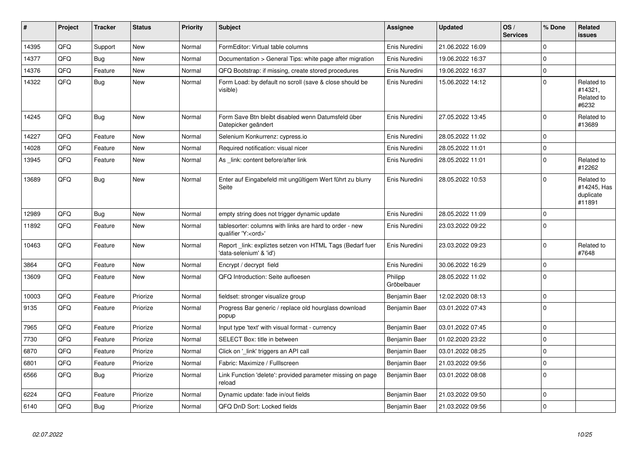| #     | Project | <b>Tracker</b> | <b>Status</b> | <b>Priority</b> | <b>Subject</b>                                                                        | <b>Assignee</b>        | <b>Updated</b>   | OS/<br><b>Services</b> | % Done      | Related<br><b>issues</b>                         |
|-------|---------|----------------|---------------|-----------------|---------------------------------------------------------------------------------------|------------------------|------------------|------------------------|-------------|--------------------------------------------------|
| 14395 | QFQ     | Support        | <b>New</b>    | Normal          | FormEditor: Virtual table columns                                                     | Enis Nuredini          | 21.06.2022 16:09 |                        | $\Omega$    |                                                  |
| 14377 | QFQ     | Bug            | <b>New</b>    | Normal          | Documentation > General Tips: white page after migration                              | Enis Nuredini          | 19.06.2022 16:37 |                        | $\Omega$    |                                                  |
| 14376 | QFQ     | Feature        | <b>New</b>    | Normal          | QFQ Bootstrap: if missing, create stored procedures                                   | Enis Nuredini          | 19.06.2022 16:37 |                        | $\mathbf 0$ |                                                  |
| 14322 | QFQ     | <b>Bug</b>     | <b>New</b>    | Normal          | Form Load: by default no scroll (save & close should be<br>visible)                   | Enis Nuredini          | 15.06.2022 14:12 |                        | $\Omega$    | Related to<br>#14321,<br>Related to<br>#6232     |
| 14245 | QFQ     | Bug            | <b>New</b>    | Normal          | Form Save Btn bleibt disabled wenn Datumsfeld über<br>Datepicker geändert             | Enis Nuredini          | 27.05.2022 13:45 |                        | $\mathbf 0$ | Related to<br>#13689                             |
| 14227 | QFQ     | Feature        | <b>New</b>    | Normal          | Selenium Konkurrenz: cypress.io                                                       | Enis Nuredini          | 28.05.2022 11:02 |                        | $\mathbf 0$ |                                                  |
| 14028 | QFQ     | Feature        | <b>New</b>    | Normal          | Required notification: visual nicer                                                   | Enis Nuredini          | 28.05.2022 11:01 |                        | $\mathbf 0$ |                                                  |
| 13945 | QFQ     | Feature        | <b>New</b>    | Normal          | As link: content before/after link                                                    | Enis Nuredini          | 28.05.2022 11:01 |                        | $\mathbf 0$ | Related to<br>#12262                             |
| 13689 | QFQ     | <b>Bug</b>     | <b>New</b>    | Normal          | Enter auf Eingabefeld mit ungültigem Wert führt zu blurry<br>Seite                    | Enis Nuredini          | 28.05.2022 10:53 |                        | $\Omega$    | Related to<br>#14245, Has<br>duplicate<br>#11891 |
| 12989 | QFQ     | Bug            | New           | Normal          | empty string does not trigger dynamic update                                          | Enis Nuredini          | 28.05.2022 11:09 |                        | $\mathbf 0$ |                                                  |
| 11892 | QFQ     | Feature        | <b>New</b>    | Normal          | tablesorter: columns with links are hard to order - new<br>qualifier 'Y: <ord>'</ord> | Enis Nuredini          | 23.03.2022 09:22 |                        | $\Omega$    |                                                  |
| 10463 | QFQ     | Feature        | <b>New</b>    | Normal          | Report _link: expliztes setzen von HTML Tags (Bedarf fuer<br>'data-selenium' & 'id')  | Enis Nuredini          | 23.03.2022 09:23 |                        | $\Omega$    | Related to<br>#7648                              |
| 3864  | QFQ     | Feature        | <b>New</b>    | Normal          | Encrypt / decrypt field                                                               | Enis Nuredini          | 30.06.2022 16:29 |                        | $\Omega$    |                                                  |
| 13609 | QFQ     | Feature        | <b>New</b>    | Normal          | QFQ Introduction: Seite aufloesen                                                     | Philipp<br>Gröbelbauer | 28.05.2022 11:02 |                        | $\Omega$    |                                                  |
| 10003 | QFQ     | Feature        | Priorize      | Normal          | fieldset: stronger visualize group                                                    | Benjamin Baer          | 12.02.2020 08:13 |                        | $\mathbf 0$ |                                                  |
| 9135  | QFQ     | Feature        | Priorize      | Normal          | Progress Bar generic / replace old hourglass download<br>popup                        | Benjamin Baer          | 03.01.2022 07:43 |                        | $\mathbf 0$ |                                                  |
| 7965  | QFQ     | Feature        | Priorize      | Normal          | Input type 'text' with visual format - currency                                       | Benjamin Baer          | 03.01.2022 07:45 |                        | $\mathbf 0$ |                                                  |
| 7730  | QFQ     | Feature        | Priorize      | Normal          | SELECT Box: title in between                                                          | Benjamin Baer          | 01.02.2020 23:22 |                        | $\Omega$    |                                                  |
| 6870  | QFQ     | Feature        | Priorize      | Normal          | Click on '_link' triggers an API call                                                 | Benjamin Baer          | 03.01.2022 08:25 |                        | $\mathbf 0$ |                                                  |
| 6801  | QFQ     | Feature        | Priorize      | Normal          | Fabric: Maximize / FullIscreen                                                        | Benjamin Baer          | 21.03.2022 09:56 |                        | $\mathbf 0$ |                                                  |
| 6566  | QFQ     | <b>Bug</b>     | Priorize      | Normal          | Link Function 'delete': provided parameter missing on page<br>reload                  | Benjamin Baer          | 03.01.2022 08:08 |                        | $\Omega$    |                                                  |
| 6224  | QFQ     | Feature        | Priorize      | Normal          | Dynamic update: fade in/out fields                                                    | Benjamin Baer          | 21.03.2022 09:50 |                        | $\mathbf 0$ |                                                  |
| 6140  | QFQ     | Bug            | Priorize      | Normal          | QFQ DnD Sort: Locked fields                                                           | Benjamin Baer          | 21.03.2022 09:56 |                        | $\Omega$    |                                                  |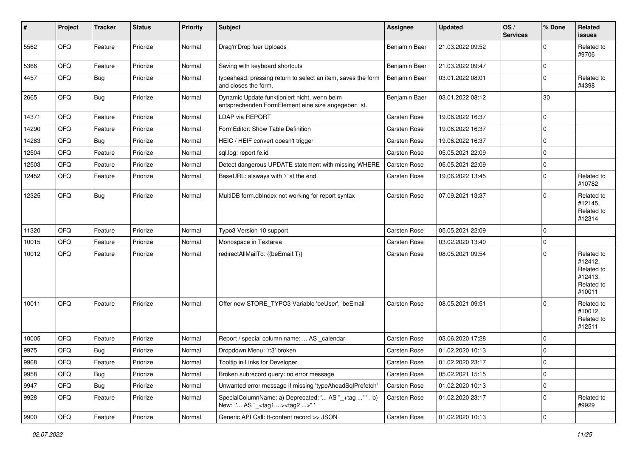| #     | Project | <b>Tracker</b> | <b>Status</b> | <b>Priority</b> | Subject                                                                                             | <b>Assignee</b>     | <b>Updated</b>   | OS/<br><b>Services</b> | % Done      | Related<br><b>issues</b>                                               |
|-------|---------|----------------|---------------|-----------------|-----------------------------------------------------------------------------------------------------|---------------------|------------------|------------------------|-------------|------------------------------------------------------------------------|
| 5562  | QFQ     | Feature        | Priorize      | Normal          | Drag'n'Drop fuer Uploads                                                                            | Benjamin Baer       | 21.03.2022 09:52 |                        | 0           | Related to<br>#9706                                                    |
| 5366  | QFQ     | Feature        | Priorize      | Normal          | Saving with keyboard shortcuts                                                                      | Benjamin Baer       | 21.03.2022 09:47 |                        | $\mathbf 0$ |                                                                        |
| 4457  | QFQ     | Bug            | Priorize      | Normal          | typeahead: pressing return to select an item, saves the form<br>and closes the form.                | Benjamin Baer       | 03.01.2022 08:01 |                        | $\Omega$    | Related to<br>#4398                                                    |
| 2665  | QFQ     | Bug            | Priorize      | Normal          | Dynamic Update funktioniert nicht, wenn beim<br>entsprechenden FormElement eine size angegeben ist. | Benjamin Baer       | 03.01.2022 08:12 |                        | 30          |                                                                        |
| 14371 | QFQ     | Feature        | Priorize      | Normal          | <b>LDAP via REPORT</b>                                                                              | <b>Carsten Rose</b> | 19.06.2022 16:37 |                        | $\Omega$    |                                                                        |
| 14290 | QFQ     | Feature        | Priorize      | Normal          | FormEditor: Show Table Definition                                                                   | <b>Carsten Rose</b> | 19.06.2022 16:37 |                        | 0           |                                                                        |
| 14283 | QFQ     | Bug            | Priorize      | Normal          | HEIC / HEIF convert doesn't trigger                                                                 | <b>Carsten Rose</b> | 19.06.2022 16:37 |                        | $\Omega$    |                                                                        |
| 12504 | QFQ     | Feature        | Priorize      | Normal          | sql.log: report fe.id                                                                               | Carsten Rose        | 05.05.2021 22:09 |                        | $\mathbf 0$ |                                                                        |
| 12503 | QFQ     | Feature        | Priorize      | Normal          | Detect dangerous UPDATE statement with missing WHERE                                                | <b>Carsten Rose</b> | 05.05.2021 22:09 |                        | $\mathbf 0$ |                                                                        |
| 12452 | QFQ     | Feature        | Priorize      | Normal          | BaseURL: alsways with '/' at the end                                                                | <b>Carsten Rose</b> | 19.06.2022 13:45 |                        | 0           | Related to<br>#10782                                                   |
| 12325 | QFQ     | Bug            | Priorize      | Normal          | MultiDB form.dblndex not working for report syntax                                                  | <b>Carsten Rose</b> | 07.09.2021 13:37 |                        | $\Omega$    | Related to<br>#12145,<br>Related to<br>#12314                          |
| 11320 | QFQ     | Feature        | Priorize      | Normal          | Typo3 Version 10 support                                                                            | <b>Carsten Rose</b> | 05.05.2021 22:09 |                        | $\Omega$    |                                                                        |
| 10015 | QFQ     | Feature        | Priorize      | Normal          | Monospace in Textarea                                                                               | <b>Carsten Rose</b> | 03.02.2020 13:40 |                        | 0           |                                                                        |
| 10012 | QFQ     | Feature        | Priorize      | Normal          | redirectAllMailTo: {{beEmail:T}}                                                                    | <b>Carsten Rose</b> | 08.05.2021 09:54 |                        | 0           | Related to<br>#12412,<br>Related to<br>#12413,<br>Related to<br>#10011 |
| 10011 | QFQ     | Feature        | Priorize      | Normal          | Offer new STORE TYPO3 Variable 'beUser', 'beEmail'                                                  | <b>Carsten Rose</b> | 08.05.2021 09:51 |                        | U           | Related to<br>#10012,<br>Related to<br>#12511                          |
| 10005 | QFQ     | Feature        | Priorize      | Normal          | Report / special column name:  AS _calendar                                                         | <b>Carsten Rose</b> | 03.06.2020 17:28 |                        | $\Omega$    |                                                                        |
| 9975  | QFQ     | <b>Bug</b>     | Priorize      | Normal          | Dropdown Menu: 'r:3' broken                                                                         | Carsten Rose        | 01.02.2020 10:13 |                        | $\mathbf 0$ |                                                                        |
| 9968  | QFG     | Feature        | Priorize      | Normal          | Tooltip in Links for Developer                                                                      | Carsten Rose        | 01.02.2020 23:17 |                        | 0           |                                                                        |
| 9958  | QFQ     | Bug            | Priorize      | Normal          | Broken subrecord query: no error message                                                            | Carsten Rose        | 05.02.2021 15:15 |                        | 0           |                                                                        |
| 9947  | QFQ     | <b>Bug</b>     | Priorize      | Normal          | Unwanted error message if missing 'typeAheadSqlPrefetch'                                            | <b>Carsten Rose</b> | 01.02.2020 10:13 |                        | 0           |                                                                        |
| 9928  | QFQ     | Feature        | Priorize      | Normal          | SpecialColumnName: a) Deprecated: ' AS "_+tag " ', b)<br>New: ' AS "_ <tag1><tag2>"</tag2></tag1>   | Carsten Rose        | 01.02.2020 23:17 |                        | $\mathbf 0$ | Related to<br>#9929                                                    |
| 9900  | QFG     | Feature        | Priorize      | Normal          | Generic API Call: tt-content record >> JSON                                                         | Carsten Rose        | 01.02.2020 10:13 |                        | 0           |                                                                        |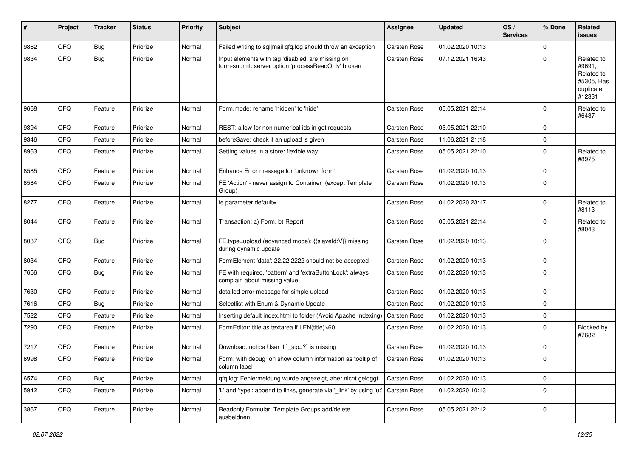| #    | Project | <b>Tracker</b> | <b>Status</b> | <b>Priority</b> | <b>Subject</b>                                                                                           | <b>Assignee</b>     | <b>Updated</b>   | OS/<br><b>Services</b> | % Done      | Related<br><b>issues</b>                                                |
|------|---------|----------------|---------------|-----------------|----------------------------------------------------------------------------------------------------------|---------------------|------------------|------------------------|-------------|-------------------------------------------------------------------------|
| 9862 | QFQ     | Bug            | Priorize      | Normal          | Failed writing to sql mail qfq.log should throw an exception                                             | Carsten Rose        | 01.02.2020 10:13 |                        | $\Omega$    |                                                                         |
| 9834 | QFQ     | <b>Bug</b>     | Priorize      | Normal          | Input elements with tag 'disabled' are missing on<br>form-submit: server option 'processReadOnly' broken | <b>Carsten Rose</b> | 07.12.2021 16:43 |                        | 0           | Related to<br>#9691,<br>Related to<br>#5305, Has<br>duplicate<br>#12331 |
| 9668 | QFQ     | Feature        | Priorize      | Normal          | Form.mode: rename 'hidden' to 'hide'                                                                     | <b>Carsten Rose</b> | 05.05.2021 22:14 |                        | 0           | Related to<br>#6437                                                     |
| 9394 | QFQ     | Feature        | Priorize      | Normal          | REST: allow for non numerical ids in get requests                                                        | <b>Carsten Rose</b> | 05.05.2021 22:10 |                        | $\mathbf 0$ |                                                                         |
| 9346 | QFQ     | Feature        | Priorize      | Normal          | beforeSave: check if an upload is given                                                                  | <b>Carsten Rose</b> | 11.06.2021 21:18 |                        | 0           |                                                                         |
| 8963 | QFQ     | Feature        | Priorize      | Normal          | Setting values in a store: flexible way                                                                  | <b>Carsten Rose</b> | 05.05.2021 22:10 |                        | 0           | Related to<br>#8975                                                     |
| 8585 | QFQ     | Feature        | Priorize      | Normal          | Enhance Error message for 'unknown form'                                                                 | <b>Carsten Rose</b> | 01.02.2020 10:13 |                        | $\mathbf 0$ |                                                                         |
| 8584 | QFQ     | Feature        | Priorize      | Normal          | FE 'Action' - never assign to Container (except Template<br>Group)                                       | <b>Carsten Rose</b> | 01.02.2020 10:13 |                        | $\Omega$    |                                                                         |
| 8277 | QFQ     | Feature        | Priorize      | Normal          | fe.parameter.default=                                                                                    | <b>Carsten Rose</b> | 01.02.2020 23:17 |                        | $\Omega$    | Related to<br>#8113                                                     |
| 8044 | QFQ     | Feature        | Priorize      | Normal          | Transaction: a) Form, b) Report                                                                          | <b>Carsten Rose</b> | 05.05.2021 22:14 |                        | 0           | Related to<br>#8043                                                     |
| 8037 | QFQ     | Bug            | Priorize      | Normal          | FE.type=upload (advanced mode): {{slaveId:V}} missing<br>during dynamic update                           | <b>Carsten Rose</b> | 01.02.2020 10:13 |                        | $\Omega$    |                                                                         |
| 8034 | QFQ     | Feature        | Priorize      | Normal          | FormElement 'data': 22.22.2222 should not be accepted                                                    | <b>Carsten Rose</b> | 01.02.2020 10:13 |                        | $\mathbf 0$ |                                                                         |
| 7656 | QFQ     | Bug            | Priorize      | Normal          | FE with required, 'pattern' and 'extraButtonLock': always<br>complain about missing value                | Carsten Rose        | 01.02.2020 10:13 |                        | $\Omega$    |                                                                         |
| 7630 | QFQ     | Feature        | Priorize      | Normal          | detailed error message for simple upload                                                                 | <b>Carsten Rose</b> | 01.02.2020 10:13 |                        | $\Omega$    |                                                                         |
| 7616 | QFQ     | Bug            | Priorize      | Normal          | Selectlist with Enum & Dynamic Update                                                                    | <b>Carsten Rose</b> | 01.02.2020 10:13 |                        | 0           |                                                                         |
| 7522 | QFQ     | Feature        | Priorize      | Normal          | Inserting default index.html to folder (Avoid Apache Indexing)                                           | <b>Carsten Rose</b> | 01.02.2020 10:13 |                        | $\Omega$    |                                                                         |
| 7290 | QFQ     | Feature        | Priorize      | Normal          | FormEditor: title as textarea if LEN(title)>60                                                           | Carsten Rose        | 01.02.2020 10:13 |                        | $\Omega$    | Blocked by<br>#7682                                                     |
| 7217 | QFQ     | Feature        | Priorize      | Normal          | Download: notice User if `_sip=?` is missing                                                             | <b>Carsten Rose</b> | 01.02.2020 10:13 |                        | 0           |                                                                         |
| 6998 | QFQ     | Feature        | Priorize      | Normal          | Form: with debug=on show column information as tooltip of<br>column label                                | <b>Carsten Rose</b> | 01.02.2020 10:13 |                        | $\Omega$    |                                                                         |
| 6574 | QFQ     | <b>Bug</b>     | Priorize      | Normal          | qfq.log: Fehlermeldung wurde angezeigt, aber nicht geloggt                                               | Carsten Rose        | 01.02.2020 10:13 |                        | $\mathbf 0$ |                                                                         |
| 5942 | QFQ     | Feature        | Priorize      | Normal          | 'L' and 'type': append to links, generate via '_link' by using 'u:'                                      | Carsten Rose        | 01.02.2020 10:13 |                        | 0           |                                                                         |
| 3867 | QFG     | Feature        | Priorize      | Normal          | Readonly Formular: Template Groups add/delete<br>ausbeldnen                                              | Carsten Rose        | 05.05.2021 22:12 |                        | 0           |                                                                         |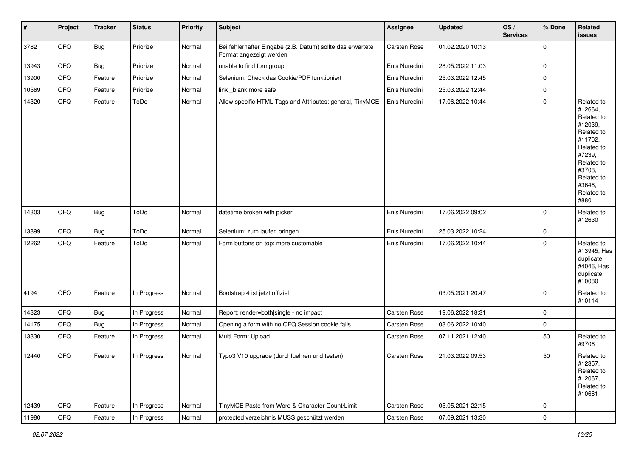| #     | Project | <b>Tracker</b> | <b>Status</b> | <b>Priority</b> | <b>Subject</b>                                                                        | <b>Assignee</b> | Updated          | OS/<br><b>Services</b> | % Done      | Related<br><b>issues</b>                                                                                                                                              |
|-------|---------|----------------|---------------|-----------------|---------------------------------------------------------------------------------------|-----------------|------------------|------------------------|-------------|-----------------------------------------------------------------------------------------------------------------------------------------------------------------------|
| 3782  | QFQ     | Bug            | Priorize      | Normal          | Bei fehlerhafter Eingabe (z.B. Datum) sollte das erwartete<br>Format angezeigt werden | Carsten Rose    | 01.02.2020 10:13 |                        | $\mathbf 0$ |                                                                                                                                                                       |
| 13943 | QFQ     | Bug            | Priorize      | Normal          | unable to find formgroup                                                              | Enis Nuredini   | 28.05.2022 11:03 |                        | $\mathbf 0$ |                                                                                                                                                                       |
| 13900 | QFQ     | Feature        | Priorize      | Normal          | Selenium: Check das Cookie/PDF funktioniert                                           | Enis Nuredini   | 25.03.2022 12:45 |                        | $\mathbf 0$ |                                                                                                                                                                       |
| 10569 | QFQ     | Feature        | Priorize      | Normal          | link _blank more safe                                                                 | Enis Nuredini   | 25.03.2022 12:44 |                        | $\mathbf 0$ |                                                                                                                                                                       |
| 14320 | QFQ     | Feature        | ToDo          | Normal          | Allow specific HTML Tags and Attributes: general, TinyMCE                             | Enis Nuredini   | 17.06.2022 10:44 |                        | $\mathbf 0$ | Related to<br>#12664,<br>Related to<br>#12039,<br>Related to<br>#11702,<br>Related to<br>#7239,<br>Related to<br>#3708,<br>Related to<br>#3646,<br>Related to<br>#880 |
| 14303 | QFQ     | <b>Bug</b>     | ToDo          | Normal          | datetime broken with picker                                                           | Enis Nuredini   | 17.06.2022 09:02 |                        | $\mathbf 0$ | Related to<br>#12630                                                                                                                                                  |
| 13899 | QFQ     | Bug            | ToDo          | Normal          | Selenium: zum laufen bringen                                                          | Enis Nuredini   | 25.03.2022 10:24 |                        | $\mathbf 0$ |                                                                                                                                                                       |
| 12262 | QFQ     | Feature        | ToDo          | Normal          | Form buttons on top: more customable                                                  | Enis Nuredini   | 17.06.2022 10:44 |                        | $\mathbf 0$ | Related to<br>#13945, Has<br>duplicate<br>#4046, Has<br>duplicate<br>#10080                                                                                           |
| 4194  | QFQ     | Feature        | In Progress   | Normal          | Bootstrap 4 ist jetzt offiziel                                                        |                 | 03.05.2021 20:47 |                        | $\mathbf 0$ | Related to<br>#10114                                                                                                                                                  |
| 14323 | QFQ     | Bug            | In Progress   | Normal          | Report: render=both single - no impact                                                | Carsten Rose    | 19.06.2022 18:31 |                        | $\mathbf 0$ |                                                                                                                                                                       |
| 14175 | QFQ     | <b>Bug</b>     | In Progress   | Normal          | Opening a form with no QFQ Session cookie fails                                       | Carsten Rose    | 03.06.2022 10:40 |                        | $\mathbf 0$ |                                                                                                                                                                       |
| 13330 | QFQ     | Feature        | In Progress   | Normal          | Multi Form: Upload                                                                    | Carsten Rose    | 07.11.2021 12:40 |                        | 50          | Related to<br>#9706                                                                                                                                                   |
| 12440 | QFQ     | Feature        | In Progress   | Normal          | Typo3 V10 upgrade (durchfuehren und testen)                                           | Carsten Rose    | 21.03.2022 09:53 |                        | 50          | Related to<br>#12357,<br>Related to<br>#12067,<br>Related to<br>#10661                                                                                                |
| 12439 | QFQ     | Feature        | In Progress   | Normal          | TinyMCE Paste from Word & Character Count/Limit                                       | Carsten Rose    | 05.05.2021 22:15 |                        | $\mathbf 0$ |                                                                                                                                                                       |
| 11980 | QFG     | Feature        | In Progress   | Normal          | protected verzeichnis MUSS geschützt werden                                           | Carsten Rose    | 07.09.2021 13:30 |                        | $\pmb{0}$   |                                                                                                                                                                       |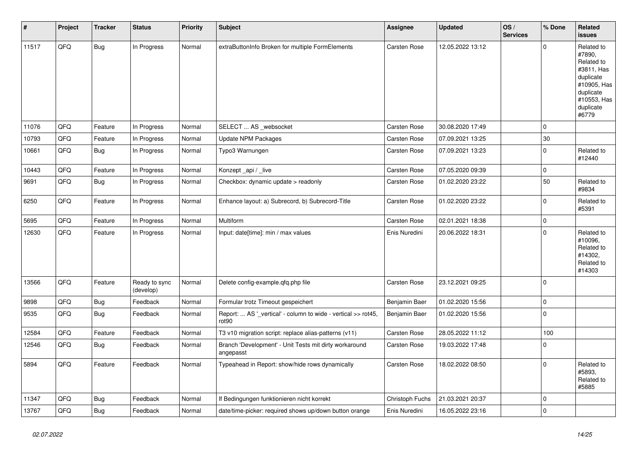| #     | <b>Project</b> | <b>Tracker</b> | <b>Status</b>              | <b>Priority</b> | <b>Subject</b>                                                                     | <b>Assignee</b>     | <b>Updated</b>   | OS/<br><b>Services</b> | % Done      | Related<br><b>issues</b>                                                                                                       |
|-------|----------------|----------------|----------------------------|-----------------|------------------------------------------------------------------------------------|---------------------|------------------|------------------------|-------------|--------------------------------------------------------------------------------------------------------------------------------|
| 11517 | QFQ            | <b>Bug</b>     | In Progress                | Normal          | extraButtonInfo Broken for multiple FormElements                                   | <b>Carsten Rose</b> | 12.05.2022 13:12 |                        | $\Omega$    | Related to<br>#7890,<br>Related to<br>#3811, Has<br>duplicate<br>#10905, Has<br>duplicate<br>#10553, Has<br>duplicate<br>#6779 |
| 11076 | QFQ            | Feature        | In Progress                | Normal          | SELECT  AS _websocket                                                              | <b>Carsten Rose</b> | 30.08.2020 17:49 |                        | $\Omega$    |                                                                                                                                |
| 10793 | QFQ            | Feature        | In Progress                | Normal          | <b>Update NPM Packages</b>                                                         | Carsten Rose        | 07.09.2021 13:25 |                        | 30          |                                                                                                                                |
| 10661 | QFQ            | Bug            | In Progress                | Normal          | Typo3 Warnungen                                                                    | Carsten Rose        | 07.09.2021 13:23 |                        | $\Omega$    | Related to<br>#12440                                                                                                           |
| 10443 | QFQ            | Feature        | In Progress                | Normal          | Konzept_api / _live                                                                | Carsten Rose        | 07.05.2020 09:39 |                        | $\Omega$    |                                                                                                                                |
| 9691  | QFQ            | Bug            | In Progress                | Normal          | Checkbox: dynamic update > readonly                                                | Carsten Rose        | 01.02.2020 23:22 |                        | 50          | Related to<br>#9834                                                                                                            |
| 6250  | QFQ            | Feature        | In Progress                | Normal          | Enhance layout: a) Subrecord, b) Subrecord-Title                                   | Carsten Rose        | 01.02.2020 23:22 |                        | 0           | Related to<br>#5391                                                                                                            |
| 5695  | QFQ            | Feature        | In Progress                | Normal          | <b>Multiform</b>                                                                   | <b>Carsten Rose</b> | 02.01.2021 18:38 |                        | $\Omega$    |                                                                                                                                |
| 12630 | QFQ            | Feature        | In Progress                | Normal          | Input: date[time]: min / max values                                                | Enis Nuredini       | 20.06.2022 18:31 |                        | $\Omega$    | Related to<br>#10096,<br>Related to<br>#14302.<br>Related to<br>#14303                                                         |
| 13566 | QFQ            | Feature        | Ready to sync<br>(develop) | Normal          | Delete config-example.qfq.php file                                                 | Carsten Rose        | 23.12.2021 09:25 |                        | $\Omega$    |                                                                                                                                |
| 9898  | QFQ            | <b>Bug</b>     | Feedback                   | Normal          | Formular trotz Timeout gespeichert                                                 | Benjamin Baer       | 01.02.2020 15:56 |                        | $\mathbf 0$ |                                                                                                                                |
| 9535  | QFQ            | <b>Bug</b>     | Feedback                   | Normal          | Report:  AS '_vertical' - column to wide - vertical >> rot45,<br>rot <sub>90</sub> | Benjamin Baer       | 01.02.2020 15:56 |                        | 0           |                                                                                                                                |
| 12584 | QFQ            | Feature        | Feedback                   | Normal          | T3 v10 migration script: replace alias-patterns (v11)                              | <b>Carsten Rose</b> | 28.05.2022 11:12 |                        | 100         |                                                                                                                                |
| 12546 | QFQ            | Bug            | Feedback                   | Normal          | Branch 'Development' - Unit Tests mit dirty workaround<br>angepasst                | <b>Carsten Rose</b> | 19.03.2022 17:48 |                        | $\Omega$    |                                                                                                                                |
| 5894  | QFQ            | Feature        | Feedback                   | Normal          | Typeahead in Report: show/hide rows dynamically                                    | <b>Carsten Rose</b> | 18.02.2022 08:50 |                        | $\Omega$    | Related to<br>#5893.<br>Related to<br>#5885                                                                                    |
| 11347 | QFQ            | <b>Bug</b>     | Feedback                   | Normal          | If Bedingungen funktionieren nicht korrekt                                         | Christoph Fuchs     | 21.03.2021 20:37 |                        | $\Omega$    |                                                                                                                                |
| 13767 | QFQ            | <b>Bug</b>     | Feedback                   | Normal          | date/time-picker: required shows up/down button orange                             | Enis Nuredini       | 16.05.2022 23:16 |                        | $\Omega$    |                                                                                                                                |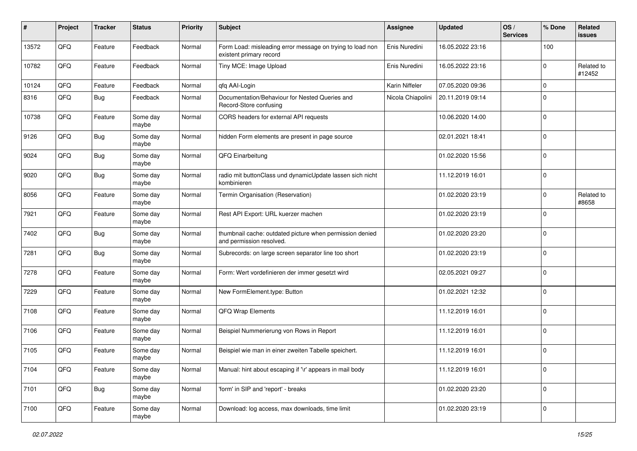| $\pmb{\#}$ | Project | <b>Tracker</b> | <b>Status</b>     | <b>Priority</b> | <b>Subject</b>                                                                       | <b>Assignee</b>   | <b>Updated</b>   | OS/<br><b>Services</b> | % Done      | Related<br>issues    |
|------------|---------|----------------|-------------------|-----------------|--------------------------------------------------------------------------------------|-------------------|------------------|------------------------|-------------|----------------------|
| 13572      | QFQ     | Feature        | Feedback          | Normal          | Form Load: misleading error message on trying to load non<br>existent primary record | Enis Nuredini     | 16.05.2022 23:16 |                        | 100         |                      |
| 10782      | QFQ     | Feature        | Feedback          | Normal          | Tiny MCE: Image Upload                                                               | Enis Nuredini     | 16.05.2022 23:16 |                        | 0           | Related to<br>#12452 |
| 10124      | QFQ     | Feature        | Feedback          | Normal          | qfq AAI-Login                                                                        | Karin Niffeler    | 07.05.2020 09:36 |                        | 0           |                      |
| 8316       | QFQ     | Bug            | Feedback          | Normal          | Documentation/Behaviour for Nested Queries and<br>Record-Store confusing             | Nicola Chiapolini | 20.11.2019 09:14 |                        | 0           |                      |
| 10738      | QFQ     | Feature        | Some day<br>maybe | Normal          | CORS headers for external API requests                                               |                   | 10.06.2020 14:00 |                        | 0           |                      |
| 9126       | QFQ     | Bug            | Some day<br>maybe | Normal          | hidden Form elements are present in page source                                      |                   | 02.01.2021 18:41 |                        | 0           |                      |
| 9024       | QFQ     | Bug            | Some day<br>maybe | Normal          | QFQ Einarbeitung                                                                     |                   | 01.02.2020 15:56 |                        | 0           |                      |
| 9020       | QFQ     | <b>Bug</b>     | Some day<br>maybe | Normal          | radio mit buttonClass und dynamicUpdate lassen sich nicht<br>kombinieren             |                   | 11.12.2019 16:01 |                        | 0           |                      |
| 8056       | QFQ     | Feature        | Some day<br>maybe | Normal          | Termin Organisation (Reservation)                                                    |                   | 01.02.2020 23:19 |                        | 0           | Related to<br>#8658  |
| 7921       | QFQ     | Feature        | Some day<br>maybe | Normal          | Rest API Export: URL kuerzer machen                                                  |                   | 01.02.2020 23:19 |                        | 0           |                      |
| 7402       | QFQ     | <b>Bug</b>     | Some day<br>maybe | Normal          | thumbnail cache: outdated picture when permission denied<br>and permission resolved. |                   | 01.02.2020 23:20 |                        | $\mathbf 0$ |                      |
| 7281       | QFQ     | <b>Bug</b>     | Some day<br>maybe | Normal          | Subrecords: on large screen separator line too short                                 |                   | 01.02.2020 23:19 |                        | 0           |                      |
| 7278       | QFQ     | Feature        | Some day<br>maybe | Normal          | Form: Wert vordefinieren der immer gesetzt wird                                      |                   | 02.05.2021 09:27 |                        | 0           |                      |
| 7229       | QFQ     | Feature        | Some day<br>maybe | Normal          | New FormElement.type: Button                                                         |                   | 01.02.2021 12:32 |                        | 0           |                      |
| 7108       | QFQ     | Feature        | Some day<br>maybe | Normal          | QFQ Wrap Elements                                                                    |                   | 11.12.2019 16:01 |                        | 0           |                      |
| 7106       | QFQ     | Feature        | Some day<br>maybe | Normal          | Beispiel Nummerierung von Rows in Report                                             |                   | 11.12.2019 16:01 |                        | 0           |                      |
| 7105       | QFQ     | Feature        | Some day<br>maybe | Normal          | Beispiel wie man in einer zweiten Tabelle speichert.                                 |                   | 11.12.2019 16:01 |                        | 0           |                      |
| 7104       | QFQ     | Feature        | Some day<br>maybe | Normal          | Manual: hint about escaping if '\r' appears in mail body                             |                   | 11.12.2019 16:01 |                        | 0           |                      |
| 7101       | QFQ     | <b>Bug</b>     | Some day<br>maybe | Normal          | 'form' in SIP and 'report' - breaks                                                  |                   | 01.02.2020 23:20 |                        | 0           |                      |
| 7100       | QFQ     | Feature        | Some day<br>maybe | Normal          | Download: log access, max downloads, time limit                                      |                   | 01.02.2020 23:19 |                        | 0           |                      |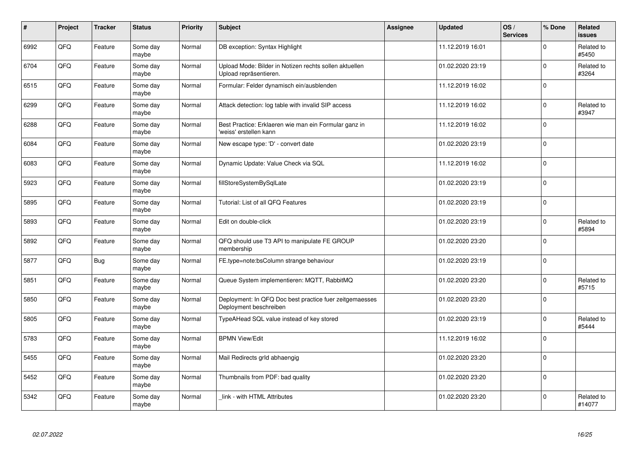| #    | Project    | <b>Tracker</b> | <b>Status</b>     | <b>Priority</b> | Subject                                                                           | <b>Assignee</b> | <b>Updated</b>   | OS/<br><b>Services</b> | % Done      | Related<br><b>issues</b> |
|------|------------|----------------|-------------------|-----------------|-----------------------------------------------------------------------------------|-----------------|------------------|------------------------|-------------|--------------------------|
| 6992 | QFQ        | Feature        | Some day<br>maybe | Normal          | DB exception: Syntax Highlight                                                    |                 | 11.12.2019 16:01 |                        | $\Omega$    | Related to<br>#5450      |
| 6704 | QFQ        | Feature        | Some day<br>maybe | Normal          | Upload Mode: Bilder in Notizen rechts sollen aktuellen<br>Upload repräsentieren.  |                 | 01.02.2020 23:19 |                        | $\Omega$    | Related to<br>#3264      |
| 6515 | QFQ        | Feature        | Some day<br>maybe | Normal          | Formular: Felder dynamisch ein/ausblenden                                         |                 | 11.12.2019 16:02 |                        | $\Omega$    |                          |
| 6299 | QFQ        | Feature        | Some day<br>maybe | Normal          | Attack detection: log table with invalid SIP access                               |                 | 11.12.2019 16:02 |                        | $\Omega$    | Related to<br>#3947      |
| 6288 | QFQ        | Feature        | Some day<br>maybe | Normal          | Best Practice: Erklaeren wie man ein Formular ganz in<br>'weiss' erstellen kann   |                 | 11.12.2019 16:02 |                        | $\Omega$    |                          |
| 6084 | <b>OFO</b> | Feature        | Some day<br>maybe | Normal          | New escape type: 'D' - convert date                                               |                 | 01.02.2020 23:19 |                        | $\Omega$    |                          |
| 6083 | QFQ        | Feature        | Some day<br>maybe | Normal          | Dynamic Update: Value Check via SQL                                               |                 | 11.12.2019 16:02 |                        | $\Omega$    |                          |
| 5923 | QFQ        | Feature        | Some day<br>maybe | Normal          | fillStoreSystemBySqlLate                                                          |                 | 01.02.2020 23:19 |                        | $\Omega$    |                          |
| 5895 | QFQ        | Feature        | Some day<br>maybe | Normal          | Tutorial: List of all QFQ Features                                                |                 | 01.02.2020 23:19 |                        | $\Omega$    |                          |
| 5893 | QFQ        | Feature        | Some day<br>maybe | Normal          | Edit on double-click                                                              |                 | 01.02.2020 23:19 |                        | $\Omega$    | Related to<br>#5894      |
| 5892 | QFQ        | Feature        | Some day<br>maybe | Normal          | QFQ should use T3 API to manipulate FE GROUP<br>membership                        |                 | 01.02.2020 23:20 |                        | $\Omega$    |                          |
| 5877 | QFQ        | Bug            | Some day<br>maybe | Normal          | FE.type=note:bsColumn strange behaviour                                           |                 | 01.02.2020 23:19 |                        | $\mathbf 0$ |                          |
| 5851 | QFQ        | Feature        | Some day<br>maybe | Normal          | Queue System implementieren: MQTT, RabbitMQ                                       |                 | 01.02.2020 23:20 |                        | $\Omega$    | Related to<br>#5715      |
| 5850 | QFQ        | Feature        | Some day<br>maybe | Normal          | Deployment: In QFQ Doc best practice fuer zeitgemaesses<br>Deployment beschreiben |                 | 01.02.2020 23:20 |                        | $\mathbf 0$ |                          |
| 5805 | QFQ        | Feature        | Some day<br>maybe | Normal          | TypeAHead SQL value instead of key stored                                         |                 | 01.02.2020 23:19 |                        | $\Omega$    | Related to<br>#5444      |
| 5783 | QFQ        | Feature        | Some day<br>maybe | Normal          | <b>BPMN View/Edit</b>                                                             |                 | 11.12.2019 16:02 |                        | $\Omega$    |                          |
| 5455 | QFQ        | Feature        | Some day<br>maybe | Normal          | Mail Redirects grld abhaengig                                                     |                 | 01.02.2020 23:20 |                        | $\Omega$    |                          |
| 5452 | QFQ        | Feature        | Some day<br>maybe | Normal          | Thumbnails from PDF: bad quality                                                  |                 | 01.02.2020 23:20 |                        | $\mathbf 0$ |                          |
| 5342 | QFQ        | Feature        | Some day<br>maybe | Normal          | link - with HTML Attributes                                                       |                 | 01.02.2020 23:20 |                        | $\Omega$    | Related to<br>#14077     |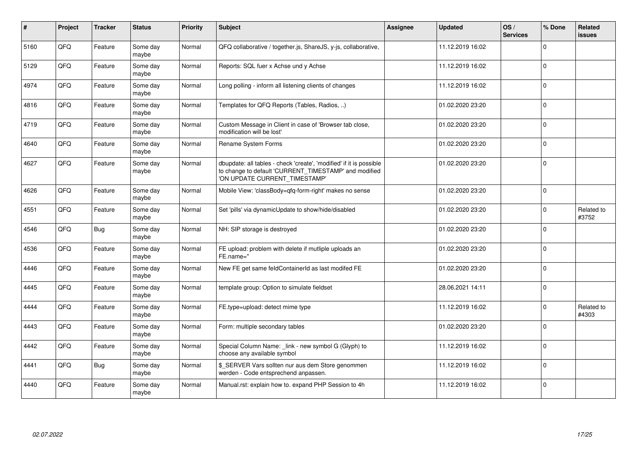| #    | Project | <b>Tracker</b> | <b>Status</b>     | <b>Priority</b> | <b>Subject</b>                                                                                                                                                | Assignee | <b>Updated</b>   | OS/<br><b>Services</b> | % Done      | Related<br>issues   |
|------|---------|----------------|-------------------|-----------------|---------------------------------------------------------------------------------------------------------------------------------------------------------------|----------|------------------|------------------------|-------------|---------------------|
| 5160 | QFQ     | Feature        | Some day<br>mavbe | Normal          | QFQ collaborative / together.js, ShareJS, y-js, collaborative,                                                                                                |          | 11.12.2019 16:02 |                        | $\Omega$    |                     |
| 5129 | QFQ     | Feature        | Some day<br>maybe | Normal          | Reports: SQL fuer x Achse und y Achse                                                                                                                         |          | 11.12.2019 16:02 |                        | $\Omega$    |                     |
| 4974 | QFQ     | Feature        | Some day<br>maybe | Normal          | Long polling - inform all listening clients of changes                                                                                                        |          | 11.12.2019 16:02 |                        | $\mathbf 0$ |                     |
| 4816 | QFQ     | Feature        | Some day<br>maybe | Normal          | Templates for QFQ Reports (Tables, Radios, )                                                                                                                  |          | 01.02.2020 23:20 |                        | $\Omega$    |                     |
| 4719 | QFQ     | Feature        | Some day<br>maybe | Normal          | Custom Message in Client in case of 'Browser tab close,<br>modification will be lost'                                                                         |          | 01.02.2020 23:20 |                        | $\Omega$    |                     |
| 4640 | QFQ     | Feature        | Some day<br>maybe | Normal          | Rename System Forms                                                                                                                                           |          | 01.02.2020 23:20 |                        | $\mathbf 0$ |                     |
| 4627 | QFQ     | Feature        | Some day<br>maybe | Normal          | dbupdate: all tables - check 'create', 'modified' if it is possible<br>to change to default 'CURRENT_TIMESTAMP' and modified<br>'ON UPDATE CURRENT_TIMESTAMP' |          | 01.02.2020 23:20 |                        | $\Omega$    |                     |
| 4626 | QFQ     | Feature        | Some day<br>maybe | Normal          | Mobile View: 'classBody=qfq-form-right' makes no sense                                                                                                        |          | 01.02.2020 23:20 |                        | $\Omega$    |                     |
| 4551 | QFQ     | Feature        | Some day<br>maybe | Normal          | Set 'pills' via dynamicUpdate to show/hide/disabled                                                                                                           |          | 01.02.2020 23:20 |                        | $\Omega$    | Related to<br>#3752 |
| 4546 | QFQ     | Bug            | Some day<br>maybe | Normal          | NH: SIP storage is destroyed                                                                                                                                  |          | 01.02.2020 23:20 |                        | $\Omega$    |                     |
| 4536 | QFQ     | Feature        | Some day<br>maybe | Normal          | FE upload: problem with delete if mutliple uploads an<br>FE.name="                                                                                            |          | 01.02.2020 23:20 |                        | $\Omega$    |                     |
| 4446 | QFQ     | Feature        | Some day<br>maybe | Normal          | New FE get same feldContainerId as last modifed FE                                                                                                            |          | 01.02.2020 23:20 |                        | $\Omega$    |                     |
| 4445 | QFQ     | Feature        | Some day<br>maybe | Normal          | template group: Option to simulate fieldset                                                                                                                   |          | 28.06.2021 14:11 |                        | $\mathbf 0$ |                     |
| 4444 | QFQ     | Feature        | Some day<br>maybe | Normal          | FE.type=upload: detect mime type                                                                                                                              |          | 11.12.2019 16:02 |                        | $\mathbf 0$ | Related to<br>#4303 |
| 4443 | QFQ     | Feature        | Some day<br>maybe | Normal          | Form: multiple secondary tables                                                                                                                               |          | 01.02.2020 23:20 |                        | $\Omega$    |                     |
| 4442 | QFQ     | Feature        | Some day<br>maybe | Normal          | Special Column Name: _link - new symbol G (Glyph) to<br>choose any available symbol                                                                           |          | 11.12.2019 16:02 |                        | $\Omega$    |                     |
| 4441 | QFQ     | <b>Bug</b>     | Some day<br>maybe | Normal          | \$_SERVER Vars sollten nur aus dem Store genommen<br>werden - Code entsprechend anpassen.                                                                     |          | 11.12.2019 16:02 |                        | $\Omega$    |                     |
| 4440 | QFQ     | Feature        | Some day<br>maybe | Normal          | Manual.rst: explain how to. expand PHP Session to 4h                                                                                                          |          | 11.12.2019 16:02 |                        | $\mathbf 0$ |                     |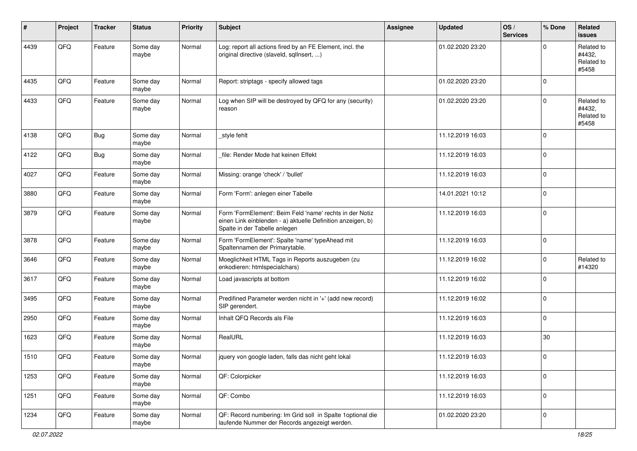| #    | Project | <b>Tracker</b> | <b>Status</b>     | <b>Priority</b> | <b>Subject</b>                                                                                                                                           | <b>Assignee</b> | <b>Updated</b>   | OS/<br><b>Services</b> | % Done      | Related<br><b>issues</b>                    |
|------|---------|----------------|-------------------|-----------------|----------------------------------------------------------------------------------------------------------------------------------------------------------|-----------------|------------------|------------------------|-------------|---------------------------------------------|
| 4439 | QFQ     | Feature        | Some day<br>maybe | Normal          | Log: report all actions fired by an FE Element, incl. the<br>original directive (slaveld, sqlInsert, )                                                   |                 | 01.02.2020 23:20 |                        | O           | Related to<br>#4432,<br>Related to<br>#5458 |
| 4435 | QFQ     | Feature        | Some day<br>maybe | Normal          | Report: striptags - specify allowed tags                                                                                                                 |                 | 01.02.2020 23:20 |                        | $\Omega$    |                                             |
| 4433 | QFQ     | Feature        | Some day<br>maybe | Normal          | Log when SIP will be destroyed by QFQ for any (security)<br>reason                                                                                       |                 | 01.02.2020 23:20 |                        | $\Omega$    | Related to<br>#4432,<br>Related to<br>#5458 |
| 4138 | QFQ     | <b>Bug</b>     | Some day<br>maybe | Normal          | _style fehlt                                                                                                                                             |                 | 11.12.2019 16:03 |                        | $\Omega$    |                                             |
| 4122 | QFQ     | <b>Bug</b>     | Some day<br>maybe | Normal          | file: Render Mode hat keinen Effekt                                                                                                                      |                 | 11.12.2019 16:03 |                        | $\mathbf 0$ |                                             |
| 4027 | QFQ     | Feature        | Some day<br>maybe | Normal          | Missing: orange 'check' / 'bullet'                                                                                                                       |                 | 11.12.2019 16:03 |                        | $\mathbf 0$ |                                             |
| 3880 | QFQ     | Feature        | Some day<br>maybe | Normal          | Form 'Form': anlegen einer Tabelle                                                                                                                       |                 | 14.01.2021 10:12 |                        | $\mathbf 0$ |                                             |
| 3879 | QFQ     | Feature        | Some day<br>maybe | Normal          | Form 'FormElement': Beim Feld 'name' rechts in der Notiz<br>einen Link einblenden - a) aktuelle Definition anzeigen, b)<br>Spalte in der Tabelle anlegen |                 | 11.12.2019 16:03 |                        | $\mathbf 0$ |                                             |
| 3878 | QFQ     | Feature        | Some day<br>maybe | Normal          | Form 'FormElement': Spalte 'name' typeAhead mit<br>Spaltennamen der Primarytable.                                                                        |                 | 11.12.2019 16:03 |                        | $\mathbf 0$ |                                             |
| 3646 | QFQ     | Feature        | Some day<br>maybe | Normal          | Moeglichkeit HTML Tags in Reports auszugeben (zu<br>enkodieren: htmlspecialchars)                                                                        |                 | 11.12.2019 16:02 |                        | $\Omega$    | Related to<br>#14320                        |
| 3617 | QFQ     | Feature        | Some day<br>maybe | Normal          | Load javascripts at bottom                                                                                                                               |                 | 11.12.2019 16:02 |                        | $\Omega$    |                                             |
| 3495 | QFQ     | Feature        | Some day<br>maybe | Normal          | Predifined Parameter werden nicht in '+' (add new record)<br>SIP gerendert.                                                                              |                 | 11.12.2019 16:02 |                        | $\Omega$    |                                             |
| 2950 | QFQ     | Feature        | Some day<br>maybe | Normal          | Inhalt QFQ Records als File                                                                                                                              |                 | 11.12.2019 16:03 |                        | $\mathbf 0$ |                                             |
| 1623 | QFQ     | Feature        | Some day<br>maybe | Normal          | RealURL                                                                                                                                                  |                 | 11.12.2019 16:03 |                        | 30          |                                             |
| 1510 | QFQ     | Feature        | Some day<br>maybe | Normal          | jquery von google laden, falls das nicht geht lokal                                                                                                      |                 | 11.12.2019 16:03 |                        | 0           |                                             |
| 1253 | QFO     | Feature        | Some day<br>maybe | Normal          | QF: Colorpicker                                                                                                                                          |                 | 11.12.2019 16:03 |                        | $\Omega$    |                                             |
| 1251 | QFQ     | Feature        | Some day<br>maybe | Normal          | QF: Combo                                                                                                                                                |                 | 11.12.2019 16:03 |                        | $\mathbf 0$ |                                             |
| 1234 | QFG     | Feature        | Some day<br>maybe | Normal          | QF: Record numbering: Im Grid soll in Spalte 1 optional die<br>laufende Nummer der Records angezeigt werden.                                             |                 | 01.02.2020 23:20 |                        | 0           |                                             |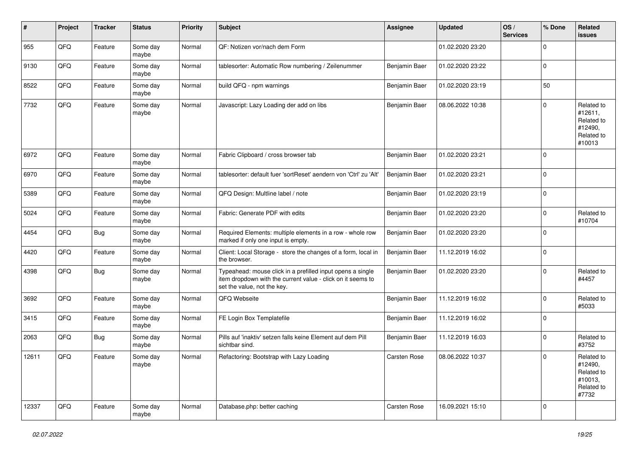| $\vert$ # | Project | <b>Tracker</b> | <b>Status</b>     | <b>Priority</b> | <b>Subject</b>                                                                                                                                           | Assignee            | <b>Updated</b>   | OS/<br><b>Services</b> | % Done      | Related<br><b>issues</b>                                               |
|-----------|---------|----------------|-------------------|-----------------|----------------------------------------------------------------------------------------------------------------------------------------------------------|---------------------|------------------|------------------------|-------------|------------------------------------------------------------------------|
| 955       | QFQ     | Feature        | Some day<br>maybe | Normal          | QF: Notizen vor/nach dem Form                                                                                                                            |                     | 01.02.2020 23:20 |                        | $\mathbf 0$ |                                                                        |
| 9130      | QFQ     | Feature        | Some day<br>maybe | Normal          | tablesorter: Automatic Row numbering / Zeilenummer                                                                                                       | Benjamin Baer       | 01.02.2020 23:22 |                        | $\pmb{0}$   |                                                                        |
| 8522      | QFQ     | Feature        | Some day<br>maybe | Normal          | build QFQ - npm warnings                                                                                                                                 | Benjamin Baer       | 01.02.2020 23:19 |                        | 50          |                                                                        |
| 7732      | QFQ     | Feature        | Some day<br>maybe | Normal          | Javascript: Lazy Loading der add on libs                                                                                                                 | Benjamin Baer       | 08.06.2022 10:38 |                        | $\mathbf 0$ | Related to<br>#12611,<br>Related to<br>#12490,<br>Related to<br>#10013 |
| 6972      | QFQ     | Feature        | Some day<br>maybe | Normal          | Fabric Clipboard / cross browser tab                                                                                                                     | Benjamin Baer       | 01.02.2020 23:21 |                        | $\Omega$    |                                                                        |
| 6970      | QFQ     | Feature        | Some day<br>maybe | Normal          | tablesorter: default fuer 'sortReset' aendern von 'Ctrl' zu 'Alt'                                                                                        | Benjamin Baer       | 01.02.2020 23:21 |                        | $\mathbf 0$ |                                                                        |
| 5389      | QFQ     | Feature        | Some day<br>maybe | Normal          | QFQ Design: Multline label / note                                                                                                                        | Benjamin Baer       | 01.02.2020 23:19 |                        | $\mathbf 0$ |                                                                        |
| 5024      | QFQ     | Feature        | Some day<br>maybe | Normal          | Fabric: Generate PDF with edits                                                                                                                          | Benjamin Baer       | 01.02.2020 23:20 |                        | $\mathbf 0$ | Related to<br>#10704                                                   |
| 4454      | QFQ     | Bug            | Some day<br>maybe | Normal          | Required Elements: multiple elements in a row - whole row<br>marked if only one input is empty.                                                          | Benjamin Baer       | 01.02.2020 23:20 |                        | $\mathbf 0$ |                                                                        |
| 4420      | QFQ     | Feature        | Some day<br>maybe | Normal          | Client: Local Storage - store the changes of a form, local in<br>the browser.                                                                            | Benjamin Baer       | 11.12.2019 16:02 |                        | $\mathsf 0$ |                                                                        |
| 4398      | QFQ     | Bug            | Some day<br>maybe | Normal          | Typeahead: mouse click in a prefilled input opens a single<br>item dropdown with the current value - click on it seems to<br>set the value, not the key. | Benjamin Baer       | 01.02.2020 23:20 |                        | $\mathbf 0$ | Related to<br>#4457                                                    |
| 3692      | QFQ     | Feature        | Some day<br>maybe | Normal          | QFQ Webseite                                                                                                                                             | Benjamin Baer       | 11.12.2019 16:02 |                        | $\mathbf 0$ | Related to<br>#5033                                                    |
| 3415      | QFQ     | Feature        | Some day<br>maybe | Normal          | FE Login Box Templatefile                                                                                                                                | Benjamin Baer       | 11.12.2019 16:02 |                        | $\mathbf 0$ |                                                                        |
| 2063      | QFQ     | Bug            | Some day<br>maybe | Normal          | Pills auf 'inaktiv' setzen falls keine Element auf dem Pill<br>sichtbar sind.                                                                            | Benjamin Baer       | 11.12.2019 16:03 |                        | $\mathbf 0$ | Related to<br>#3752                                                    |
| 12611     | QFQ     | Feature        | Some day<br>maybe | Normal          | Refactoring: Bootstrap with Lazy Loading                                                                                                                 | Carsten Rose        | 08.06.2022 10:37 |                        | $\mathbf 0$ | Related to<br>#12490,<br>Related to<br>#10013,<br>Related to<br>#7732  |
| 12337     | QFQ     | Feature        | Some day<br>maybe | Normal          | Database.php: better caching                                                                                                                             | <b>Carsten Rose</b> | 16.09.2021 15:10 |                        | $\mathbf 0$ |                                                                        |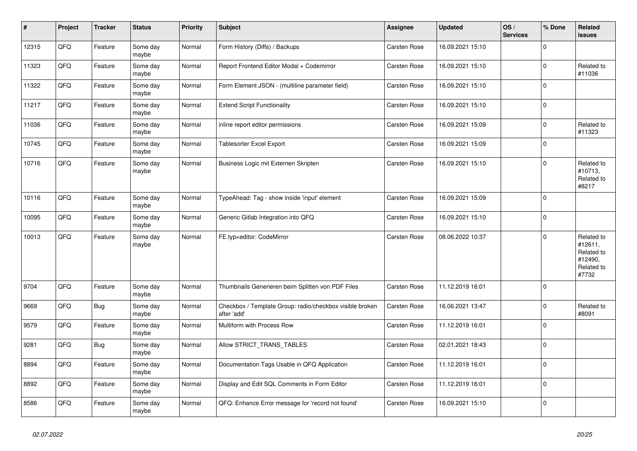| $\vert$ # | <b>Project</b> | <b>Tracker</b> | <b>Status</b>     | <b>Priority</b> | <b>Subject</b>                                                          | <b>Assignee</b>     | <b>Updated</b>   | OS/<br><b>Services</b> | % Done      | Related<br>issues                                                     |
|-----------|----------------|----------------|-------------------|-----------------|-------------------------------------------------------------------------|---------------------|------------------|------------------------|-------------|-----------------------------------------------------------------------|
| 12315     | QFQ            | Feature        | Some day<br>maybe | Normal          | Form History (Diffs) / Backups                                          | <b>Carsten Rose</b> | 16.09.2021 15:10 |                        | $\Omega$    |                                                                       |
| 11323     | QFQ            | Feature        | Some day<br>maybe | Normal          | Report Frontend Editor Modal + Codemirror                               | <b>Carsten Rose</b> | 16.09.2021 15:10 |                        | $\Omega$    | Related to<br>#11036                                                  |
| 11322     | QFQ            | Feature        | Some day<br>maybe | Normal          | Form Element JSON - (multiline parameter field)                         | Carsten Rose        | 16.09.2021 15:10 |                        | $\Omega$    |                                                                       |
| 11217     | QFQ            | Feature        | Some day<br>maybe | Normal          | <b>Extend Script Functionality</b>                                      | Carsten Rose        | 16.09.2021 15:10 |                        | $\Omega$    |                                                                       |
| 11036     | QFQ            | Feature        | Some day<br>maybe | Normal          | inline report editor permissions                                        | <b>Carsten Rose</b> | 16.09.2021 15:09 |                        | $\mathbf 0$ | Related to<br>#11323                                                  |
| 10745     | QFQ            | Feature        | Some day<br>maybe | Normal          | Tablesorter Excel Export                                                | Carsten Rose        | 16.09.2021 15:09 |                        | $\Omega$    |                                                                       |
| 10716     | QFQ            | Feature        | Some day<br>maybe | Normal          | Business Logic mit Externen Skripten                                    | <b>Carsten Rose</b> | 16.09.2021 15:10 |                        | $\Omega$    | Related to<br>#10713,<br>Related to<br>#8217                          |
| 10116     | QFQ            | Feature        | Some day<br>maybe | Normal          | TypeAhead: Tag - show inside 'input' element                            | Carsten Rose        | 16.09.2021 15:09 |                        | $\mathbf 0$ |                                                                       |
| 10095     | QFQ            | Feature        | Some day<br>maybe | Normal          | Generic Gitlab Integration into QFQ                                     | Carsten Rose        | 16.09.2021 15:10 |                        | $\Omega$    |                                                                       |
| 10013     | QFQ            | Feature        | Some day<br>maybe | Normal          | FE.typ=editor: CodeMirror                                               | <b>Carsten Rose</b> | 08.06.2022 10:37 |                        | $\Omega$    | Related to<br>#12611,<br>Related to<br>#12490,<br>Related to<br>#7732 |
| 9704      | QFQ            | Feature        | Some day<br>maybe | Normal          | Thumbnails Generieren beim Splitten von PDF Files                       | <b>Carsten Rose</b> | 11.12.2019 16:01 |                        | $\mathbf 0$ |                                                                       |
| 9669      | QFQ            | <b>Bug</b>     | Some day<br>maybe | Normal          | Checkbox / Template Group: radio/checkbox visible broken<br>after 'add' | Carsten Rose        | 16.06.2021 13:47 |                        | $\Omega$    | Related to<br>#8091                                                   |
| 9579      | QFQ            | Feature        | Some day<br>maybe | Normal          | Multiform with Process Row                                              | <b>Carsten Rose</b> | 11.12.2019 16:01 |                        | $\mathbf 0$ |                                                                       |
| 9281      | QFQ            | <b>Bug</b>     | Some day<br>maybe | Normal          | Allow STRICT_TRANS_TABLES                                               | <b>Carsten Rose</b> | 02.01.2021 18:43 |                        | $\Omega$    |                                                                       |
| 8894      | QFQ            | Feature        | Some day<br>maybe | Normal          | Documentation Tags Usable in QFQ Application                            | <b>Carsten Rose</b> | 11.12.2019 16:01 |                        | $\Omega$    |                                                                       |
| 8892      | QFQ            | Feature        | Some day<br>maybe | Normal          | Display and Edit SQL Comments in Form Editor                            | Carsten Rose        | 11.12.2019 16:01 |                        | $\mathbf 0$ |                                                                       |
| 8586      | QFQ            | Feature        | Some day<br>maybe | Normal          | QFQ: Enhance Error message for 'record not found'                       | Carsten Rose        | 16.09.2021 15:10 |                        | $\Omega$    |                                                                       |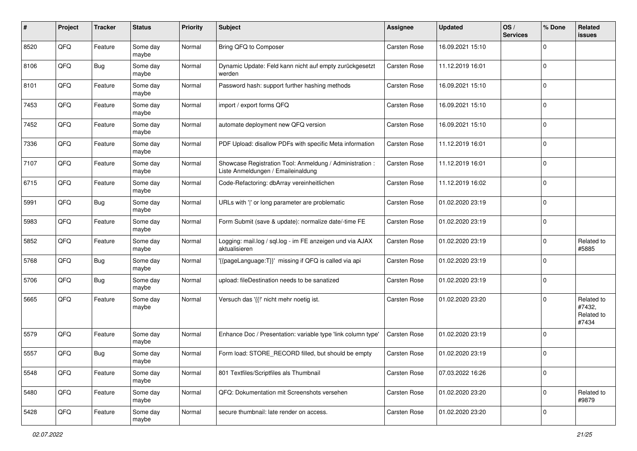| #    | Project | <b>Tracker</b> | <b>Status</b>     | <b>Priority</b> | Subject                                                                                        | <b>Assignee</b> | <b>Updated</b>   | OS/<br><b>Services</b> | % Done       | Related<br>issues                           |
|------|---------|----------------|-------------------|-----------------|------------------------------------------------------------------------------------------------|-----------------|------------------|------------------------|--------------|---------------------------------------------|
| 8520 | QFQ     | Feature        | Some day<br>maybe | Normal          | Bring QFQ to Composer                                                                          | Carsten Rose    | 16.09.2021 15:10 |                        | $\mathbf 0$  |                                             |
| 8106 | QFQ     | <b>Bug</b>     | Some day<br>maybe | Normal          | Dynamic Update: Feld kann nicht auf empty zurückgesetzt<br>werden                              | Carsten Rose    | 11.12.2019 16:01 |                        | $\mathbf 0$  |                                             |
| 8101 | QFQ     | Feature        | Some day<br>maybe | Normal          | Password hash: support further hashing methods                                                 | Carsten Rose    | 16.09.2021 15:10 |                        | $\mathbf 0$  |                                             |
| 7453 | QFQ     | Feature        | Some day<br>maybe | Normal          | import / export forms QFQ                                                                      | Carsten Rose    | 16.09.2021 15:10 |                        | $\mathbf 0$  |                                             |
| 7452 | QFQ     | Feature        | Some day<br>maybe | Normal          | automate deployment new QFQ version                                                            | Carsten Rose    | 16.09.2021 15:10 |                        | $\mathbf 0$  |                                             |
| 7336 | QFQ     | Feature        | Some day<br>maybe | Normal          | PDF Upload: disallow PDFs with specific Meta information                                       | Carsten Rose    | 11.12.2019 16:01 |                        | $\mathbf 0$  |                                             |
| 7107 | QFQ     | Feature        | Some day<br>maybe | Normal          | Showcase Registration Tool: Anmeldung / Administration :<br>Liste Anmeldungen / Emaileinaldung | Carsten Rose    | 11.12.2019 16:01 |                        | $\mathbf 0$  |                                             |
| 6715 | QFQ     | Feature        | Some day<br>maybe | Normal          | Code-Refactoring: dbArray vereinheitlichen                                                     | Carsten Rose    | 11.12.2019 16:02 |                        | $\mathbf 0$  |                                             |
| 5991 | QFQ     | <b>Bug</b>     | Some day<br>maybe | Normal          | URLs with ' ' or long parameter are problematic                                                | Carsten Rose    | 01.02.2020 23:19 |                        | $\mathbf 0$  |                                             |
| 5983 | QFQ     | Feature        | Some day<br>maybe | Normal          | Form Submit (save & update): normalize date/-time FE                                           | Carsten Rose    | 01.02.2020 23:19 |                        | $\mathbf 0$  |                                             |
| 5852 | QFQ     | Feature        | Some day<br>maybe | Normal          | Logging: mail.log / sql.log - im FE anzeigen und via AJAX<br>aktualisieren                     | Carsten Rose    | 01.02.2020 23:19 |                        | $\mathbf 0$  | Related to<br>#5885                         |
| 5768 | QFQ     | <b>Bug</b>     | Some day<br>maybe | Normal          | {{pageLanguage:T}}' missing if QFQ is called via api                                           | Carsten Rose    | 01.02.2020 23:19 |                        | $\mathbf 0$  |                                             |
| 5706 | QFQ     | <b>Bug</b>     | Some day<br>maybe | Normal          | upload: fileDestination needs to be sanatized                                                  | Carsten Rose    | 01.02.2020 23:19 |                        | $\mathbf 0$  |                                             |
| 5665 | QFQ     | Feature        | Some day<br>maybe | Normal          | Versuch das '{{!' nicht mehr noetig ist.                                                       | Carsten Rose    | 01.02.2020 23:20 |                        | $\mathbf 0$  | Related to<br>#7432,<br>Related to<br>#7434 |
| 5579 | QFQ     | Feature        | Some day<br>maybe | Normal          | Enhance Doc / Presentation: variable type 'link column type'                                   | Carsten Rose    | 01.02.2020 23:19 |                        | $\mathbf 0$  |                                             |
| 5557 | QFQ     | Bug            | Some day<br>maybe | Normal          | Form load: STORE RECORD filled, but should be empty                                            | Carsten Rose    | 01.02.2020 23:19 |                        | $\mathbf 0$  |                                             |
| 5548 | QFQ     | Feature        | Some day<br>maybe | Normal          | 801 Textfiles/Scriptfiles als Thumbnail                                                        | Carsten Rose    | 07.03.2022 16:26 |                        | $\mathbf 0$  |                                             |
| 5480 | QFQ     | Feature        | Some day<br>maybe | Normal          | QFQ: Dokumentation mit Screenshots versehen                                                    | Carsten Rose    | 01.02.2020 23:20 |                        | $\mathsf{O}$ | Related to<br>#9879                         |
| 5428 | QFQ     | Feature        | Some day<br>maybe | Normal          | secure thumbnail: late render on access.                                                       | Carsten Rose    | 01.02.2020 23:20 |                        | 0            |                                             |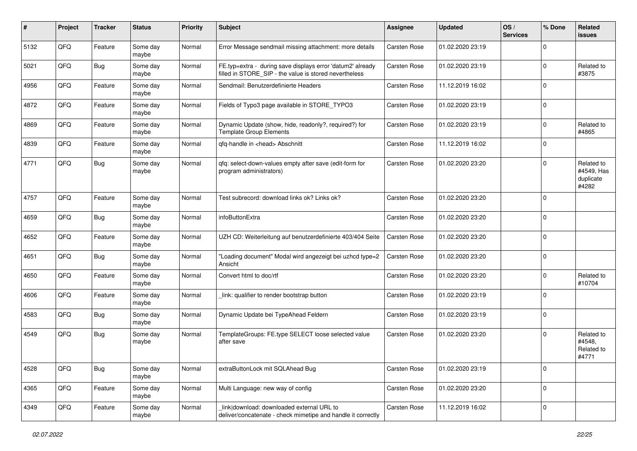| #    | Project | <b>Tracker</b> | <b>Status</b>     | Priority | Subject                                                                                                              | <b>Assignee</b>     | <b>Updated</b>   | OS/<br><b>Services</b> | % Done      | Related<br>issues                              |
|------|---------|----------------|-------------------|----------|----------------------------------------------------------------------------------------------------------------------|---------------------|------------------|------------------------|-------------|------------------------------------------------|
| 5132 | QFQ     | Feature        | Some day<br>maybe | Normal   | Error Message sendmail missing attachment: more details                                                              | Carsten Rose        | 01.02.2020 23:19 |                        | $\mathbf 0$ |                                                |
| 5021 | QFQ     | <b>Bug</b>     | Some day<br>maybe | Normal   | FE.typ=extra - during save displays error 'datum2' already<br>filled in STORE_SIP - the value is stored nevertheless | Carsten Rose        | 01.02.2020 23:19 |                        | $\mathbf 0$ | Related to<br>#3875                            |
| 4956 | QFQ     | Feature        | Some day<br>maybe | Normal   | Sendmail: Benutzerdefinierte Headers                                                                                 | Carsten Rose        | 11.12.2019 16:02 |                        | $\mathbf 0$ |                                                |
| 4872 | QFQ     | Feature        | Some day<br>maybe | Normal   | Fields of Typo3 page available in STORE_TYPO3                                                                        | Carsten Rose        | 01.02.2020 23:19 |                        | $\mathbf 0$ |                                                |
| 4869 | QFQ     | Feature        | Some day<br>maybe | Normal   | Dynamic Update (show, hide, readonly?, required?) for<br><b>Template Group Elements</b>                              | Carsten Rose        | 01.02.2020 23:19 |                        | $\mathbf 0$ | Related to<br>#4865                            |
| 4839 | QFQ     | Feature        | Some day<br>maybe | Normal   | qfq-handle in <head> Abschnitt</head>                                                                                | Carsten Rose        | 11.12.2019 16:02 |                        | $\mathbf 0$ |                                                |
| 4771 | QFQ     | <b>Bug</b>     | Some day<br>maybe | Normal   | qfq: select-down-values empty after save (edit-form for<br>program administrators)                                   | Carsten Rose        | 01.02.2020 23:20 |                        | $\Omega$    | Related to<br>#4549, Has<br>duplicate<br>#4282 |
| 4757 | QFQ     | Feature        | Some day<br>maybe | Normal   | Test subrecord: download links ok? Links ok?                                                                         | Carsten Rose        | 01.02.2020 23:20 |                        | $\mathbf 0$ |                                                |
| 4659 | QFQ     | <b>Bug</b>     | Some day<br>maybe | Normal   | infoButtonExtra                                                                                                      | <b>Carsten Rose</b> | 01.02.2020 23:20 |                        | $\mathbf 0$ |                                                |
| 4652 | QFQ     | Feature        | Some day<br>maybe | Normal   | UZH CD: Weiterleitung auf benutzerdefinierte 403/404 Seite                                                           | <b>Carsten Rose</b> | 01.02.2020 23:20 |                        | $\mathbf 0$ |                                                |
| 4651 | QFQ     | Bug            | Some day<br>maybe | Normal   | 'Loading document" Modal wird angezeigt bei uzhcd type=2<br>Ansicht                                                  | <b>Carsten Rose</b> | 01.02.2020 23:20 |                        | $\mathbf 0$ |                                                |
| 4650 | QFQ     | Feature        | Some day<br>maybe | Normal   | Convert html to doc/rtf                                                                                              | Carsten Rose        | 01.02.2020 23:20 |                        | $\mathbf 0$ | Related to<br>#10704                           |
| 4606 | QFQ     | Feature        | Some day<br>maybe | Normal   | link: qualifier to render bootstrap button                                                                           | Carsten Rose        | 01.02.2020 23:19 |                        | $\mathbf 0$ |                                                |
| 4583 | QFQ     | Bug            | Some day<br>maybe | Normal   | Dynamic Update bei TypeAhead Feldern                                                                                 | Carsten Rose        | 01.02.2020 23:19 |                        | $\mathbf 0$ |                                                |
| 4549 | QFQ     | <b>Bug</b>     | Some day<br>maybe | Normal   | TemplateGroups: FE.type SELECT loose selected value<br>after save                                                    | Carsten Rose        | 01.02.2020 23:20 |                        | $\mathbf 0$ | Related to<br>#4548,<br>Related to<br>#4771    |
| 4528 | QFQ     | <b>Bug</b>     | Some day<br>maybe | Normal   | extraButtonLock mit SQLAhead Bug                                                                                     | Carsten Rose        | 01.02.2020 23:19 |                        | $\mathbf 0$ |                                                |
| 4365 | QFQ     | Feature        | Some day<br>maybe | Normal   | Multi Language: new way of config                                                                                    | Carsten Rose        | 01.02.2020 23:20 |                        | $\mathsf 0$ |                                                |
| 4349 | QFQ     | Feature        | Some day<br>maybe | Normal   | link download: downloaded external URL to<br>deliver/concatenate - check mimetipe and handle it correctly            | Carsten Rose        | 11.12.2019 16:02 |                        | 0           |                                                |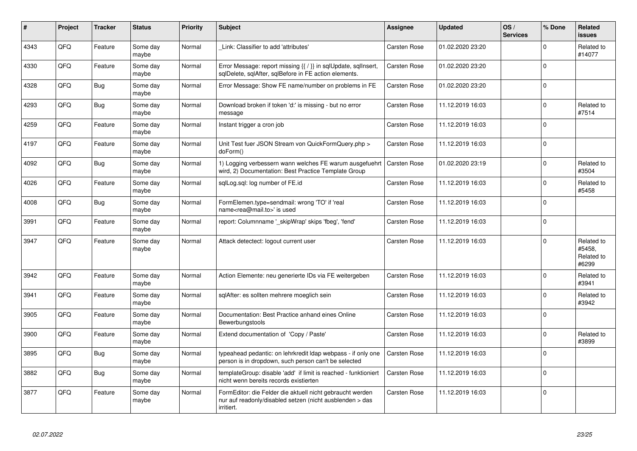| #    | Project | <b>Tracker</b> | <b>Status</b>     | <b>Priority</b> | <b>Subject</b>                                                                                                                      | <b>Assignee</b>     | <b>Updated</b>   | OS/<br><b>Services</b> | % Done   | Related<br><b>issues</b>                    |
|------|---------|----------------|-------------------|-----------------|-------------------------------------------------------------------------------------------------------------------------------------|---------------------|------------------|------------------------|----------|---------------------------------------------|
| 4343 | QFQ     | Feature        | Some day<br>maybe | Normal          | Link: Classifier to add 'attributes'                                                                                                | <b>Carsten Rose</b> | 01.02.2020 23:20 |                        | $\Omega$ | Related to<br>#14077                        |
| 4330 | QFQ     | Feature        | Some day<br>maybe | Normal          | Error Message: report missing {{ / }} in sqlUpdate, sqlInsert,<br>sglDelete, sglAfter, sglBefore in FE action elements.             | Carsten Rose        | 01.02.2020 23:20 |                        | $\Omega$ |                                             |
| 4328 | QFQ     | Bug            | Some day<br>maybe | Normal          | Error Message: Show FE name/number on problems in FE                                                                                | <b>Carsten Rose</b> | 01.02.2020 23:20 |                        | $\Omega$ |                                             |
| 4293 | QFQ     | Bug            | Some day<br>maybe | Normal          | Download broken if token 'd:' is missing - but no error<br>message                                                                  | Carsten Rose        | 11.12.2019 16:03 |                        | $\Omega$ | Related to<br>#7514                         |
| 4259 | QFQ     | Feature        | Some day<br>maybe | Normal          | Instant trigger a cron job                                                                                                          | Carsten Rose        | 11.12.2019 16:03 |                        | $\Omega$ |                                             |
| 4197 | QFQ     | Feature        | Some day<br>maybe | Normal          | Unit Test fuer JSON Stream von QuickFormQuery.php ><br>doForm()                                                                     | Carsten Rose        | 11.12.2019 16:03 |                        | $\Omega$ |                                             |
| 4092 | QFQ     | Bug            | Some day<br>maybe | Normal          | 1) Logging verbessern wann welches FE warum ausgefuehrt<br>wird, 2) Documentation: Best Practice Template Group                     | Carsten Rose        | 01.02.2020 23:19 |                        | $\Omega$ | Related to<br>#3504                         |
| 4026 | QFQ     | Feature        | Some day<br>maybe | Normal          | sglLog.sgl: log number of FE.id                                                                                                     | <b>Carsten Rose</b> | 11.12.2019 16:03 |                        | $\Omega$ | Related to<br>#5458                         |
| 4008 | QFQ     | <b>Bug</b>     | Some day<br>maybe | Normal          | FormElemen.type=sendmail: wrong 'TO' if 'real<br>name <rea@mail.to>' is used</rea@mail.to>                                          | Carsten Rose        | 11.12.2019 16:03 |                        | $\Omega$ |                                             |
| 3991 | QFQ     | Feature        | Some day<br>maybe | Normal          | report: Columnname '_skipWrap' skips 'fbeg', 'fend'                                                                                 | Carsten Rose        | 11.12.2019 16:03 |                        | $\Omega$ |                                             |
| 3947 | QFQ     | Feature        | Some day<br>maybe | Normal          | Attack detectect: logout current user                                                                                               | Carsten Rose        | 11.12.2019 16:03 |                        | $\Omega$ | Related to<br>#5458,<br>Related to<br>#6299 |
| 3942 | QFQ     | Feature        | Some day<br>maybe | Normal          | Action Elemente: neu generierte IDs via FE weitergeben                                                                              | Carsten Rose        | 11.12.2019 16:03 |                        | $\Omega$ | Related to<br>#3941                         |
| 3941 | QFQ     | Feature        | Some day<br>maybe | Normal          | sqlAfter: es sollten mehrere moeglich sein                                                                                          | Carsten Rose        | 11.12.2019 16:03 |                        | U        | Related to<br>#3942                         |
| 3905 | QFQ     | Feature        | Some day<br>maybe | Normal          | Documentation: Best Practice anhand eines Online<br>Bewerbungstools                                                                 | Carsten Rose        | 11.12.2019 16:03 |                        | $\Omega$ |                                             |
| 3900 | QFQ     | Feature        | Some day<br>maybe | Normal          | Extend documentation of 'Copy / Paste'                                                                                              | <b>Carsten Rose</b> | 11.12.2019 16:03 |                        | $\Omega$ | Related to<br>#3899                         |
| 3895 | QFQ     | Bug            | Some day<br>maybe | Normal          | typeahead pedantic: on lehrkredit Idap webpass - if only one<br>person is in dropdown, such person can't be selected                | <b>Carsten Rose</b> | 11.12.2019 16:03 |                        | $\Omega$ |                                             |
| 3882 | QFQ     | Bug            | Some day<br>maybe | Normal          | templateGroup: disable 'add' if limit is reached - funktioniert<br>nicht wenn bereits records existierten                           | Carsten Rose        | 11.12.2019 16:03 |                        | $\Omega$ |                                             |
| 3877 | QFQ     | Feature        | Some day<br>maybe | Normal          | FormEditor: die Felder die aktuell nicht gebraucht werden<br>nur auf readonly/disabled setzen (nicht ausblenden > das<br>irritiert. | <b>Carsten Rose</b> | 11.12.2019 16:03 |                        | $\Omega$ |                                             |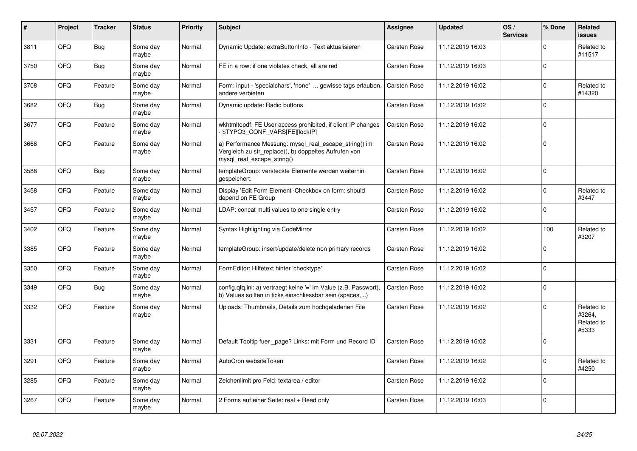| #    | Project | <b>Tracker</b> | <b>Status</b>     | <b>Priority</b> | <b>Subject</b>                                                                                                                               | <b>Assignee</b>     | <b>Updated</b>   | OS/<br><b>Services</b> | % Done      | Related<br><b>issues</b>                    |
|------|---------|----------------|-------------------|-----------------|----------------------------------------------------------------------------------------------------------------------------------------------|---------------------|------------------|------------------------|-------------|---------------------------------------------|
| 3811 | QFQ     | Bug            | Some day<br>maybe | Normal          | Dynamic Update: extraButtonInfo - Text aktualisieren                                                                                         | <b>Carsten Rose</b> | 11.12.2019 16:03 |                        | $\Omega$    | Related to<br>#11517                        |
| 3750 | QFQ     | <b>Bug</b>     | Some day<br>maybe | Normal          | FE in a row: if one violates check, all are red                                                                                              | <b>Carsten Rose</b> | 11.12.2019 16:03 |                        | $\Omega$    |                                             |
| 3708 | QFQ     | Feature        | Some day<br>maybe | Normal          | Form: input - 'specialchars', 'none'  gewisse tags erlauben,<br>andere verbieten                                                             | <b>Carsten Rose</b> | 11.12.2019 16:02 |                        | $\Omega$    | Related to<br>#14320                        |
| 3682 | QFQ     | Bug            | Some day<br>maybe | Normal          | Dynamic update: Radio buttons                                                                                                                | Carsten Rose        | 11.12.2019 16:02 |                        | $\Omega$    |                                             |
| 3677 | QFQ     | Feature        | Some day<br>maybe | Normal          | wkhtmitopdf: FE User access prohibited, if client IP changes<br>\$TYPO3_CONF_VARS[FE][lockIP]                                                | <b>Carsten Rose</b> | 11.12.2019 16:02 |                        | $\Omega$    |                                             |
| 3666 | QFQ     | Feature        | Some day<br>maybe | Normal          | a) Performance Messung: mysql_real_escape_string() im<br>Vergleich zu str_replace(), b) doppeltes Aufrufen von<br>mysql real escape string() | Carsten Rose        | 11.12.2019 16:02 |                        | $\Omega$    |                                             |
| 3588 | QFQ     | Bug            | Some day<br>maybe | Normal          | templateGroup: versteckte Elemente werden weiterhin<br>gespeichert.                                                                          | <b>Carsten Rose</b> | 11.12.2019 16:02 |                        | $\Omega$    |                                             |
| 3458 | QFQ     | Feature        | Some day<br>maybe | Normal          | Display 'Edit Form Element'-Checkbox on form: should<br>depend on FE Group                                                                   | Carsten Rose        | 11.12.2019 16:02 |                        | $\mathbf 0$ | Related to<br>#3447                         |
| 3457 | QFQ     | Feature        | Some day<br>maybe | Normal          | LDAP: concat multi values to one single entry                                                                                                | <b>Carsten Rose</b> | 11.12.2019 16:02 |                        | $\Omega$    |                                             |
| 3402 | QFQ     | Feature        | Some day<br>maybe | Normal          | Syntax Highlighting via CodeMirror                                                                                                           | <b>Carsten Rose</b> | 11.12.2019 16:02 |                        | 100         | Related to<br>#3207                         |
| 3385 | QFQ     | Feature        | Some day<br>maybe | Normal          | templateGroup: insert/update/delete non primary records                                                                                      | <b>Carsten Rose</b> | 11.12.2019 16:02 |                        | $\Omega$    |                                             |
| 3350 | QFQ     | Feature        | Some day<br>maybe | Normal          | FormEditor: Hilfetext hinter 'checktype'                                                                                                     | Carsten Rose        | 11.12.2019 16:02 |                        | $\Omega$    |                                             |
| 3349 | QFQ     | Bug            | Some day<br>maybe | Normal          | config.qfq.ini: a) vertraegt keine '=' im Value (z.B. Passwort),<br>b) Values sollten in ticks einschliessbar sein (spaces, )                | <b>Carsten Rose</b> | 11.12.2019 16:02 |                        | $\Omega$    |                                             |
| 3332 | QFQ     | Feature        | Some day<br>maybe | Normal          | Uploads: Thumbnails, Details zum hochgeladenen File                                                                                          | <b>Carsten Rose</b> | 11.12.2019 16:02 |                        | $\Omega$    | Related to<br>#3264,<br>Related to<br>#5333 |
| 3331 | QFQ     | Feature        | Some day<br>maybe | Normal          | Default Tooltip fuer page? Links: mit Form und Record ID                                                                                     | <b>Carsten Rose</b> | 11.12.2019 16:02 |                        | $\Omega$    |                                             |
| 3291 | QFQ     | Feature        | Some day<br>maybe | Normal          | AutoCron websiteToken                                                                                                                        | Carsten Rose        | 11.12.2019 16:02 |                        | $\Omega$    | Related to<br>#4250                         |
| 3285 | QFQ     | Feature        | Some day<br>maybe | Normal          | Zeichenlimit pro Feld: textarea / editor                                                                                                     | <b>Carsten Rose</b> | 11.12.2019 16:02 |                        | $\Omega$    |                                             |
| 3267 | QFQ     | Feature        | Some day<br>maybe | Normal          | 2 Forms auf einer Seite: real + Read only                                                                                                    | <b>Carsten Rose</b> | 11.12.2019 16:03 |                        | $\Omega$    |                                             |